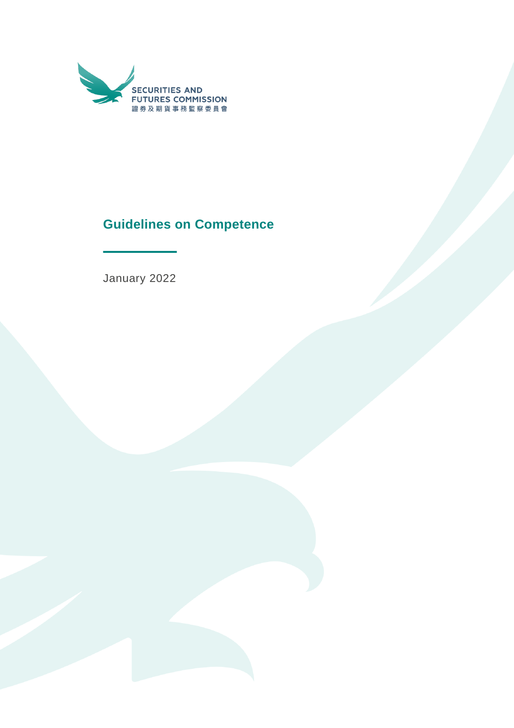

# **Guidelines on Competence**

January 2022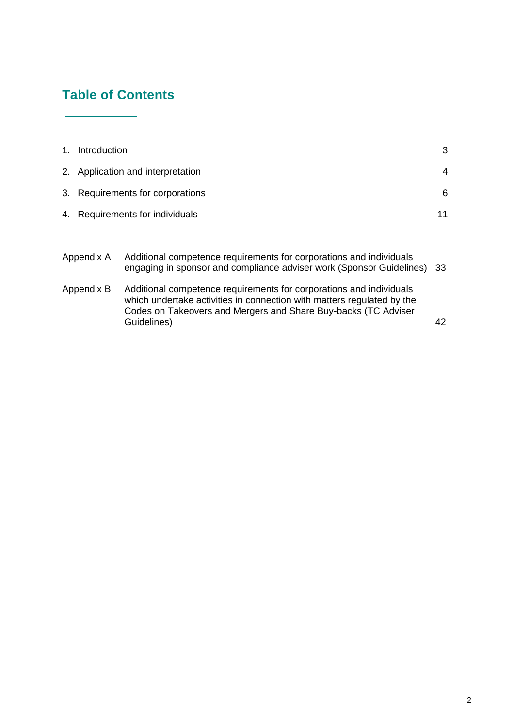# **Table of Contents**

| 1. Introduction                   | 3  |
|-----------------------------------|----|
| 2. Application and interpretation | 4  |
| 3. Requirements for corporations  | 6  |
| 4. Requirements for individuals   | 11 |
|                                   |    |

| Appendix A | Additional competence requirements for corporations and individuals     |  |  |
|------------|-------------------------------------------------------------------------|--|--|
|            | engaging in sponsor and compliance adviser work (Sponsor Guidelines) 33 |  |  |

Appendix B Additional competence requirements for corporations and individuals which undertake activities in connection with matters regulated by the Codes on Takeovers and Mergers and Share Buy-backs (TC Adviser Guidelines) 42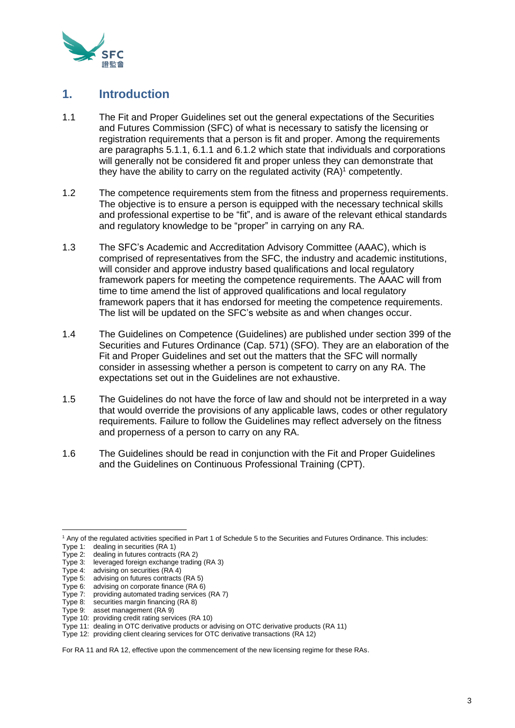

# **1. Introduction**

- 1.1 The Fit and Proper Guidelines set out the general expectations of the Securities and Futures Commission (SFC) of what is necessary to satisfy the licensing or registration requirements that a person is fit and proper. Among the requirements are paragraphs 5.1.1, 6.1.1 and 6.1.2 which state that individuals and corporations will generally not be considered fit and proper unless they can demonstrate that they have the ability to carry on the regulated activity  $(\mathsf{RA})^1$  competently.
- 1.2 The competence requirements stem from the fitness and properness requirements. The objective is to ensure a person is equipped with the necessary technical skills and professional expertise to be "fit", and is aware of the relevant ethical standards and regulatory knowledge to be "proper" in carrying on any RA.
- 1.3 The SFC's Academic and Accreditation Advisory Committee (AAAC), which is comprised of representatives from the SFC, the industry and academic institutions, will consider and approve industry based qualifications and local regulatory framework papers for meeting the competence requirements. The AAAC will from time to time amend the list of approved qualifications and local regulatory framework papers that it has endorsed for meeting the competence requirements. The list will be updated on the SFC's website as and when changes occur.
- 1.4 The Guidelines on Competence (Guidelines) are published under section 399 of the Securities and Futures Ordinance (Cap. 571) (SFO). They are an elaboration of the Fit and Proper Guidelines and set out the matters that the SFC will normally consider in assessing whether a person is competent to carry on any RA. The expectations set out in the Guidelines are not exhaustive.
- 1.5 The Guidelines do not have the force of law and should not be interpreted in a way that would override the provisions of any applicable laws, codes or other regulatory requirements. Failure to follow the Guidelines may reflect adversely on the fitness and properness of a person to carry on any RA.
- 1.6 The Guidelines should be read in conjunction with the Fit and Proper Guidelines and the Guidelines on Continuous Professional Training (CPT).

For RA 11 and RA 12, effective upon the commencement of the new licensing regime for these RAs.

<sup>1</sup> Any of the regulated activities specified in Part 1 of Schedule 5 to the Securities and Futures Ordinance. This includes:

Type 1: dealing in securities (RA 1)

Type 2: dealing in futures contracts (RA 2)

Type 3: leveraged foreign exchange trading (RA 3)

Type 4: advising on securities (RA 4)

Type 5: advising on futures contracts (RA 5)

Type 6: advising on corporate finance (RA 6) Type 7: providing automated trading services (RA 7)

Type 8: securities margin financing (RA 8)

Type 9: asset management (RA 9)

Type 10: providing credit rating services (RA 10)

Type 11: dealing in OTC derivative products or advising on OTC derivative products (RA 11)

Type 12: providing client clearing services for OTC derivative transactions (RA 12)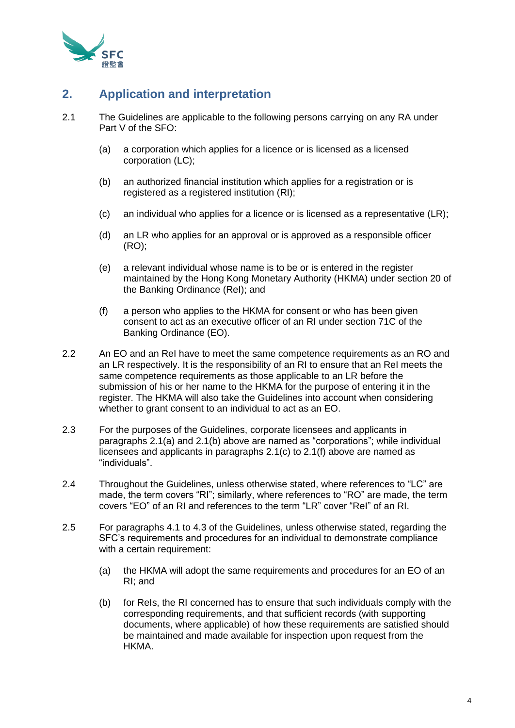

# **2. Application and interpretation**

- 2.1 The Guidelines are applicable to the following persons carrying on any RA under Part V of the SFO:
	- (a) a corporation which applies for a licence or is licensed as a licensed corporation (LC);
	- (b) an authorized financial institution which applies for a registration or is registered as a registered institution (RI);
	- (c) an individual who applies for a licence or is licensed as a representative (LR);
	- (d) an LR who applies for an approval or is approved as a responsible officer (RO);
	- (e) a relevant individual whose name is to be or is entered in the register maintained by the Hong Kong Monetary Authority (HKMA) under section 20 of the Banking Ordinance (ReI); and
	- (f) a person who applies to the HKMA for consent or who has been given consent to act as an executive officer of an RI under section 71C of the Banking Ordinance (EO).
- 2.2 An EO and an ReI have to meet the same competence requirements as an RO and an LR respectively. It is the responsibility of an RI to ensure that an ReI meets the same competence requirements as those applicable to an LR before the submission of his or her name to the HKMA for the purpose of entering it in the register. The HKMA will also take the Guidelines into account when considering whether to grant consent to an individual to act as an EO.
- 2.3 For the purposes of the Guidelines, corporate licensees and applicants in paragraphs 2.1(a) and 2.1(b) above are named as "corporations"; while individual licensees and applicants in paragraphs 2.1(c) to 2.1(f) above are named as "individuals".
- 2.4 Throughout the Guidelines, unless otherwise stated, where references to "LC" are made, the term covers "RI"; similarly, where references to "RO" are made, the term covers "EO" of an RI and references to the term "LR" cover "ReI" of an RI.
- 2.5 For paragraphs 4.1 to 4.3 of the Guidelines, unless otherwise stated, regarding the SFC's requirements and procedures for an individual to demonstrate compliance with a certain requirement:
	- (a) the HKMA will adopt the same requirements and procedures for an EO of an RI; and
	- (b) for ReIs, the RI concerned has to ensure that such individuals comply with the corresponding requirements, and that sufficient records (with supporting documents, where applicable) of how these requirements are satisfied should be maintained and made available for inspection upon request from the HKMA.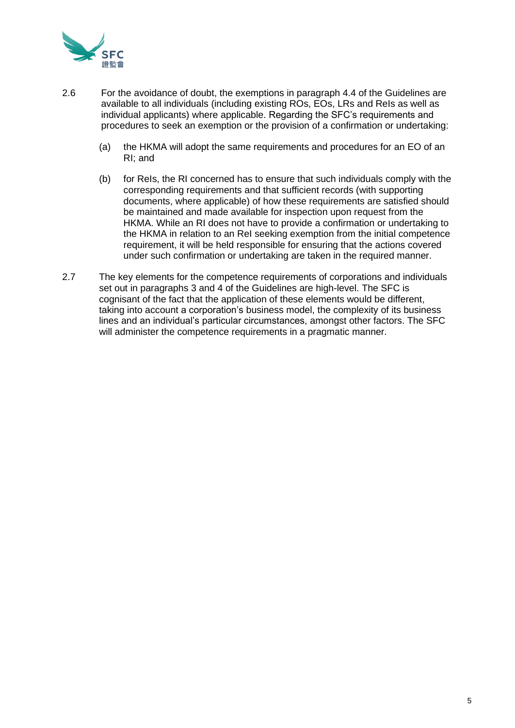

- 2.6 For the avoidance of doubt, the exemptions in paragraph 4.4 of the Guidelines are available to all individuals (including existing ROs, EOs, LRs and ReIs as well as individual applicants) where applicable. Regarding the SFC's requirements and procedures to seek an exemption or the provision of a confirmation or undertaking:
	- (a) the HKMA will adopt the same requirements and procedures for an EO of an RI; and
	- (b) for ReIs, the RI concerned has to ensure that such individuals comply with the corresponding requirements and that sufficient records (with supporting documents, where applicable) of how these requirements are satisfied should be maintained and made available for inspection upon request from the HKMA. While an RI does not have to provide a confirmation or undertaking to the HKMA in relation to an ReI seeking exemption from the initial competence requirement, it will be held responsible for ensuring that the actions covered under such confirmation or undertaking are taken in the required manner.
- 2.7 The key elements for the competence requirements of corporations and individuals set out in paragraphs 3 and 4 of the Guidelines are high-level. The SFC is cognisant of the fact that the application of these elements would be different, taking into account a corporation's business model, the complexity of its business lines and an individual's particular circumstances, amongst other factors. The SFC will administer the competence requirements in a pragmatic manner.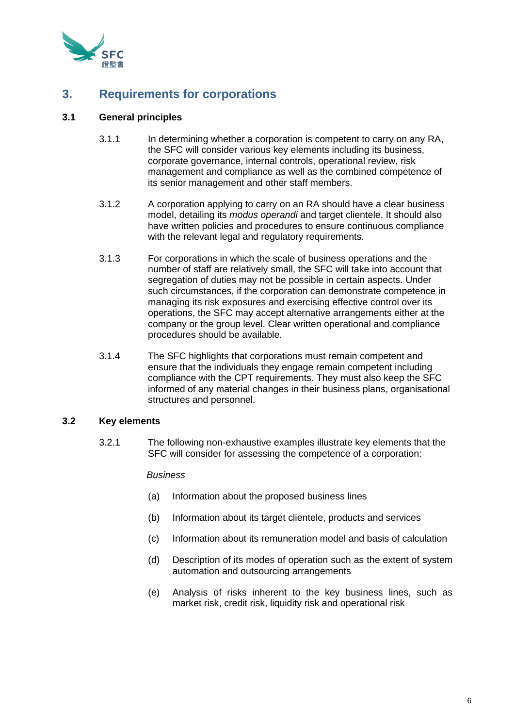

# **3. Requirements for corporations**

# **3.1 General principles**

- 3.1.1 In determining whether a corporation is competent to carry on any RA, the SFC will consider various key elements including its business, corporate governance, internal controls, operational review, risk management and compliance as well as the combined competence of its senior management and other staff members.
- 3.1.2 A corporation applying to carry on an RA should have a clear business model, detailing its *modus operandi* and target clientele. It should also have written policies and procedures to ensure continuous compliance with the relevant legal and regulatory requirements.
- 3.1.3 For corporations in which the scale of business operations and the number of staff are relatively small, the SFC will take into account that segregation of duties may not be possible in certain aspects. Under such circumstances, if the corporation can demonstrate competence in managing its risk exposures and exercising effective control over its operations, the SFC may accept alternative arrangements either at the company or the group level. Clear written operational and compliance procedures should be available.
- 3.1.4 The SFC highlights that corporations must remain competent and ensure that the individuals they engage remain competent including compliance with the CPT requirements. They must also keep the SFC informed of any material changes in their business plans, organisational structures and personnel.

# **3.2 Key elements**

3.2.1 The following non-exhaustive examples illustrate key elements that the SFC will consider for assessing the competence of a corporation:

# *Business*

- (a) Information about the proposed business lines
- (b) Information about its target clientele, products and services
- (c) Information about its remuneration model and basis of calculation
- (d) Description of its modes of operation such as the extent of system automation and outsourcing arrangements
- (e) Analysis of risks inherent to the key business lines, such as market risk, credit risk, liquidity risk and operational risk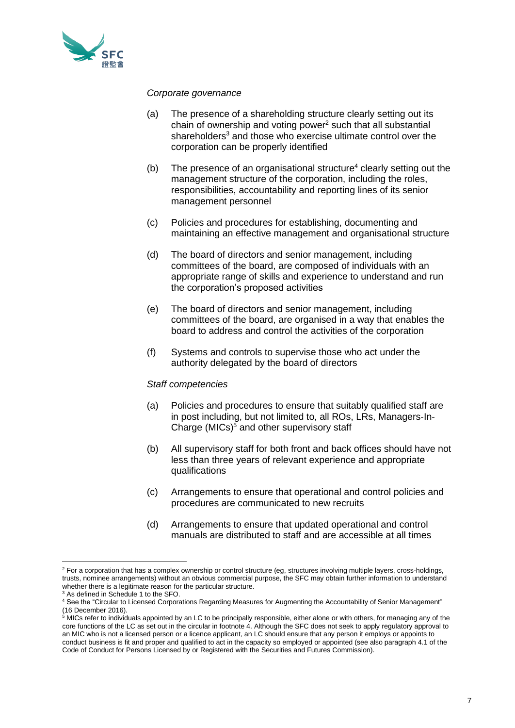

#### *Corporate governance*

- (a) The presence of a shareholding structure clearly setting out its chain of ownership and voting power<sup>2</sup> such that all substantial shareholders<sup>3</sup> and those who exercise ultimate control over the corporation can be properly identified
- (b) The presence of an organisational structure<sup>4</sup> clearly setting out the management structure of the corporation, including the roles, responsibilities, accountability and reporting lines of its senior management personnel
- (c) Policies and procedures for establishing, documenting and maintaining an effective management and organisational structure
- (d) The board of directors and senior management, including committees of the board, are composed of individuals with an appropriate range of skills and experience to understand and run the corporation's proposed activities
- (e) The board of directors and senior management, including committees of the board, are organised in a way that enables the board to address and control the activities of the corporation
- (f) Systems and controls to supervise those who act under the authority delegated by the board of directors

#### *Staff competencies*

- (a) Policies and procedures to ensure that suitably qualified staff are in post including, but not limited to, all ROs, LRs, Managers-In-Charge (MICs) <sup>5</sup> and other supervisory staff
- (b) All supervisory staff for both front and back offices should have not less than three years of relevant experience and appropriate qualifications
- (c) Arrangements to ensure that operational and control policies and procedures are communicated to new recruits
- (d) Arrangements to ensure that updated operational and control manuals are distributed to staff and are accessible at all times

<sup>&</sup>lt;sup>2</sup> For a corporation that has a complex ownership or control structure (eg, structures involving multiple layers, cross-holdings, trusts, nominee arrangements) without an obvious commercial purpose, the SFC may obtain further information to understand whether there is a legitimate reason for the particular structure.

<sup>3</sup> As defined in Schedule 1 to the SFO.

<sup>4</sup> See the "Circular to Licensed Corporations Regarding Measures for Augmenting the Accountability of Senior Management" (16 December 2016).

<sup>&</sup>lt;sup>5</sup> MICs refer to individuals appointed by an LC to be principally responsible, either alone or with others, for managing any of the core functions of the LC as set out in the circular in footnote 4. Although the SFC does not seek to apply regulatory approval to an MIC who is not a licensed person or a licence applicant, an LC should ensure that any person it employs or appoints to conduct business is fit and proper and qualified to act in the capacity so employed or appointed (see also paragraph 4.1 of the Code of Conduct for Persons Licensed by or Registered with the Securities and Futures Commission).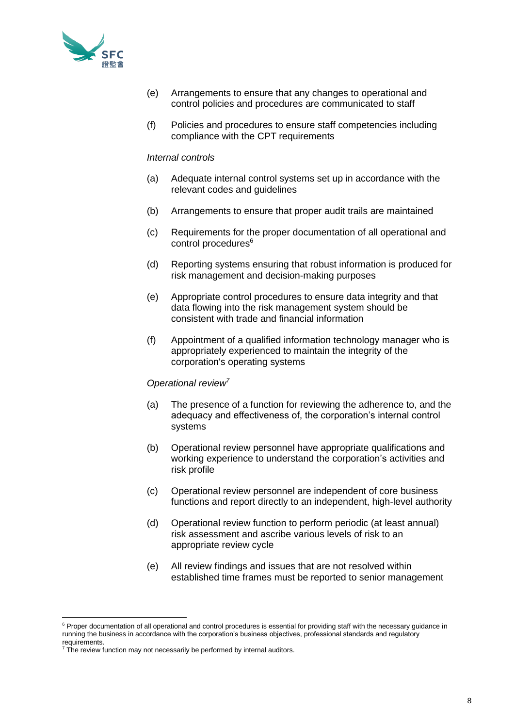

- (e) Arrangements to ensure that any changes to operational and control policies and procedures are communicated to staff
- (f) Policies and procedures to ensure staff competencies including compliance with the CPT requirements

#### *Internal controls*

- (a) Adequate internal control systems set up in accordance with the relevant codes and guidelines
- (b) Arrangements to ensure that proper audit trails are maintained
- (c) Requirements for the proper documentation of all operational and control procedures<sup>6</sup>
- (d) Reporting systems ensuring that robust information is produced for risk management and decision-making purposes
- (e) Appropriate control procedures to ensure data integrity and that data flowing into the risk management system should be consistent with trade and financial information
- (f) Appointment of a qualified information technology manager who is appropriately experienced to maintain the integrity of the corporation's operating systems

#### *Operational review<sup>7</sup>*

- (a) The presence of a function for reviewing the adherence to, and the adequacy and effectiveness of, the corporation's internal control systems
- (b) Operational review personnel have appropriate qualifications and working experience to understand the corporation's activities and risk profile
- (c) Operational review personnel are independent of core business functions and report directly to an independent, high-level authority
- (d) Operational review function to perform periodic (at least annual) risk assessment and ascribe various levels of risk to an appropriate review cycle
- (e) All review findings and issues that are not resolved within established time frames must be reported to senior management

<sup>&</sup>lt;sup>6</sup> Proper documentation of all operational and control procedures is essential for providing staff with the necessary guidance in running the business in accordance with the corporation's business objectives, professional standards and regulatory requirements.

 $7$  The review function may not necessarily be performed by internal auditors.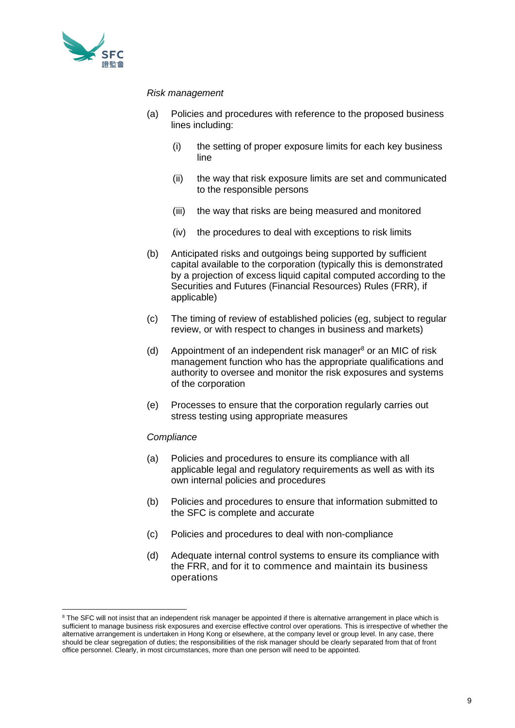

## *Risk management*

- (a) Policies and procedures with reference to the proposed business lines including:
	- (i) the setting of proper exposure limits for each key business line
	- (ii) the way that risk exposure limits are set and communicated to the responsible persons
	- (iii) the way that risks are being measured and monitored
	- (iv) the procedures to deal with exceptions to risk limits
- (b) Anticipated risks and outgoings being supported by sufficient capital available to the corporation (typically this is demonstrated by a projection of excess liquid capital computed according to the Securities and Futures (Financial Resources) Rules (FRR), if applicable)
- (c) The timing of review of established policies (eg, subject to regular review, or with respect to changes in business and markets)
- (d) Appointment of an independent risk manager<sup>8</sup> or an MIC of risk management function who has the appropriate qualifications and authority to oversee and monitor the risk exposures and systems of the corporation
- (e) Processes to ensure that the corporation regularly carries out stress testing using appropriate measures

# *Compliance*

- (a) Policies and procedures to ensure its compliance with all applicable legal and regulatory requirements as well as with its own internal policies and procedures
- (b) Policies and procedures to ensure that information submitted to the SFC is complete and accurate
- (c) Policies and procedures to deal with non-compliance
- (d) Adequate internal control systems to ensure its compliance with the FRR, and for it to commence and maintain its business operations

<sup>&</sup>lt;sup>8</sup> The SFC will not insist that an independent risk manager be appointed if there is alternative arrangement in place which is sufficient to manage business risk exposures and exercise effective control over operations. This is irrespective of whether the alternative arrangement is undertaken in Hong Kong or elsewhere, at the company level or group level. In any case, there should be clear segregation of duties; the responsibilities of the risk manager should be clearly separated from that of front office personnel. Clearly, in most circumstances, more than one person will need to be appointed.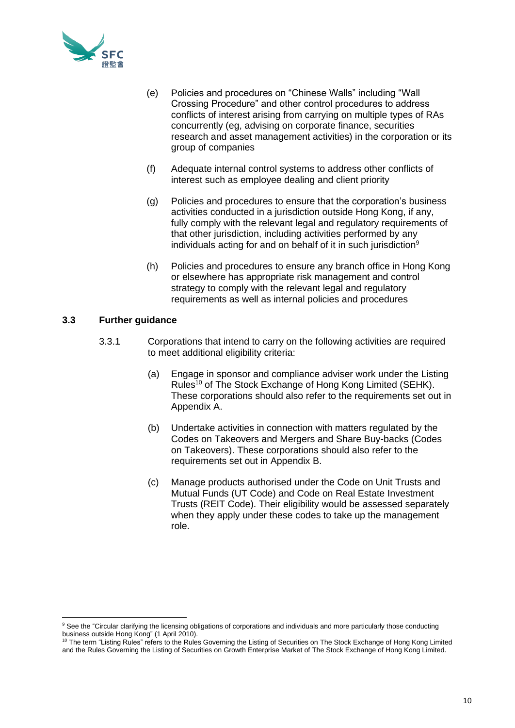

- (e) Policies and procedures on "Chinese Walls" including "Wall Crossing Procedure" and other control procedures to address conflicts of interest arising from carrying on multiple types of RAs concurrently (eg, advising on corporate finance, securities research and asset management activities) in the corporation or its group of companies
- (f) Adequate internal control systems to address other conflicts of interest such as employee dealing and client priority
- (g) Policies and procedures to ensure that the corporation's business activities conducted in a jurisdiction outside Hong Kong, if any, fully comply with the relevant legal and regulatory requirements of that other jurisdiction, including activities performed by any individuals acting for and on behalf of it in such jurisdiction $9$
- (h) Policies and procedures to ensure any branch office in Hong Kong or elsewhere has appropriate risk management and control strategy to comply with the relevant legal and regulatory requirements as well as internal policies and procedures

# **3.3 Further guidance**

- 3.3.1 Corporations that intend to carry on the following activities are required to meet additional eligibility criteria:
	- (a) Engage in sponsor and compliance adviser work under the Listing Rules<sup>10</sup> of The Stock Exchange of Hong Kong Limited (SEHK). These corporations should also refer to the requirements set out in Appendix A.
	- (b) Undertake activities in connection with matters regulated by the Codes on Takeovers and Mergers and Share Buy-backs (Codes on Takeovers). These corporations should also refer to the requirements set out in Appendix B.
	- (c) Manage products authorised under the Code on Unit Trusts and Mutual Funds (UT Code) and Code on Real Estate Investment Trusts (REIT Code). Their eligibility would be assessed separately when they apply under these codes to take up the management role.

<sup>&</sup>lt;sup>9</sup> See the "Circular clarifying the licensing obligations of corporations and individuals and more particularly those conducting business outside Hong Kong" (1 April 2010).

<sup>&</sup>lt;sup>10</sup> The term "Listing Rules" refers to the Rules Governing the Listing of Securities on The Stock Exchange of Hong Kong Limited and the Rules Governing the Listing of Securities on Growth Enterprise Market of The Stock Exchange of Hong Kong Limited.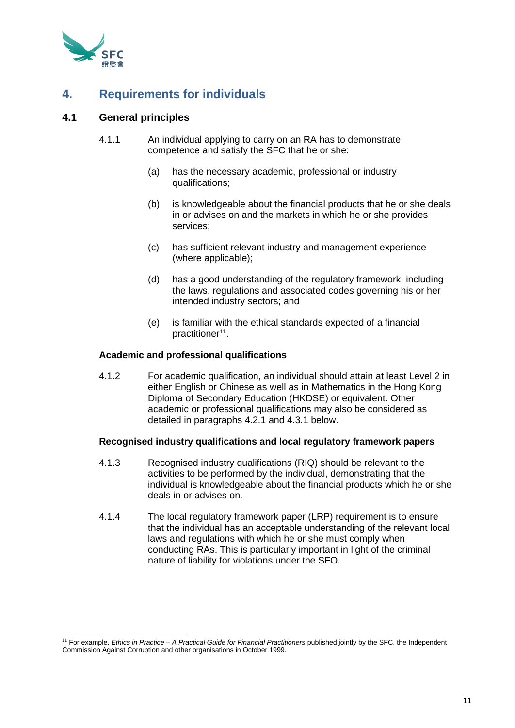

# **4. Requirements for individuals**

# **4.1 General principles**

- 4.1.1 An individual applying to carry on an RA has to demonstrate competence and satisfy the SFC that he or she:
	- (a) has the necessary academic, professional or industry qualifications;
	- (b) is knowledgeable about the financial products that he or she deals in or advises on and the markets in which he or she provides services;
	- (c) has sufficient relevant industry and management experience (where applicable);
	- (d) has a good understanding of the regulatory framework, including the laws, regulations and associated codes governing his or her intended industry sectors; and
	- (e) is familiar with the ethical standards expected of a financial practitioner<sup>11</sup>.

# **Academic and professional qualifications**

4.1.2 For academic qualification, an individual should attain at least Level 2 in either English or Chinese as well as in Mathematics in the Hong Kong Diploma of Secondary Education (HKDSE) or equivalent. Other academic or professional qualifications may also be considered as detailed in paragraphs 4.2.1 and 4.3.1 below.

# **Recognised industry qualifications and local regulatory framework papers**

- 4.1.3 Recognised industry qualifications (RIQ) should be relevant to the activities to be performed by the individual, demonstrating that the individual is knowledgeable about the financial products which he or she deals in or advises on.
- 4.1.4 The local regulatory framework paper (LRP) requirement is to ensure that the individual has an acceptable understanding of the relevant local laws and regulations with which he or she must comply when conducting RAs. This is particularly important in light of the criminal nature of liability for violations under the SFO.

<sup>11</sup> For example, *Ethics in Practice – A Practical Guide for Financial Practitioners* published jointly by the SFC, the Independent Commission Against Corruption and other organisations in October 1999.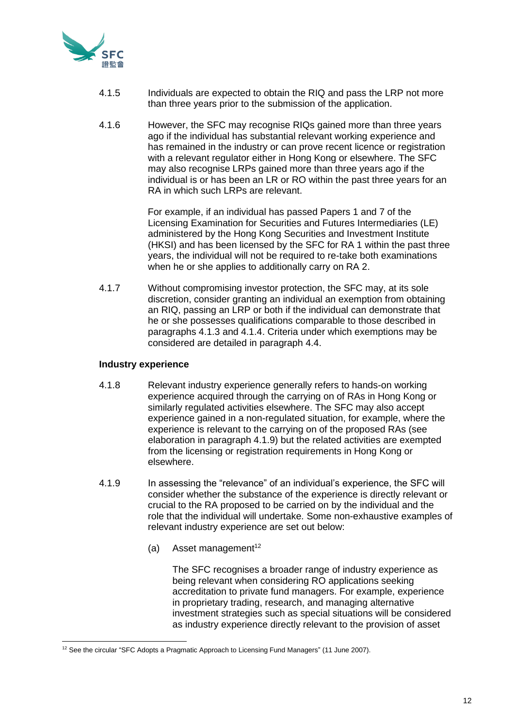

- 4.1.5 Individuals are expected to obtain the RIQ and pass the LRP not more than three years prior to the submission of the application.
- 4.1.6 However, the SFC may recognise RIQs gained more than three years ago if the individual has substantial relevant working experience and has remained in the industry or can prove recent licence or registration with a relevant regulator either in Hong Kong or elsewhere. The SFC may also recognise LRPs gained more than three years ago if the individual is or has been an LR or RO within the past three years for an RA in which such LRPs are relevant.

For example, if an individual has passed Papers 1 and 7 of the Licensing Examination for Securities and Futures Intermediaries (LE) administered by the Hong Kong Securities and Investment Institute (HKSI) and has been licensed by the SFC for RA 1 within the past three years, the individual will not be required to re-take both examinations when he or she applies to additionally carry on RA 2.

4.1.7 Without compromising investor protection, the SFC may, at its sole discretion, consider granting an individual an exemption from obtaining an RIQ, passing an LRP or both if the individual can demonstrate that he or she possesses qualifications comparable to those described in paragraphs 4.1.3 and 4.1.4. Criteria under which exemptions may be considered are detailed in paragraph 4.4.

# **Industry experience**

- 4.1.8 Relevant industry experience generally refers to hands-on working experience acquired through the carrying on of RAs in Hong Kong or similarly regulated activities elsewhere. The SFC may also accept experience gained in a non-regulated situation, for example, where the experience is relevant to the carrying on of the proposed RAs (see elaboration in paragraph 4.1.9) but the related activities are exempted from the licensing or registration requirements in Hong Kong or elsewhere.
- 4.1.9 In assessing the "relevance" of an individual's experience, the SFC will consider whether the substance of the experience is directly relevant or crucial to the RA proposed to be carried on by the individual and the role that the individual will undertake. Some non-exhaustive examples of relevant industry experience are set out below:
	- (a) Asset management<sup>12</sup>

The SFC recognises a broader range of industry experience as being relevant when considering RO applications seeking accreditation to private fund managers. For example, experience in proprietary trading, research, and managing alternative investment strategies such as special situations will be considered as industry experience directly relevant to the provision of asset

<sup>&</sup>lt;sup>12</sup> See the circular "SFC Adopts a Pragmatic Approach to Licensing Fund Managers" (11 June 2007).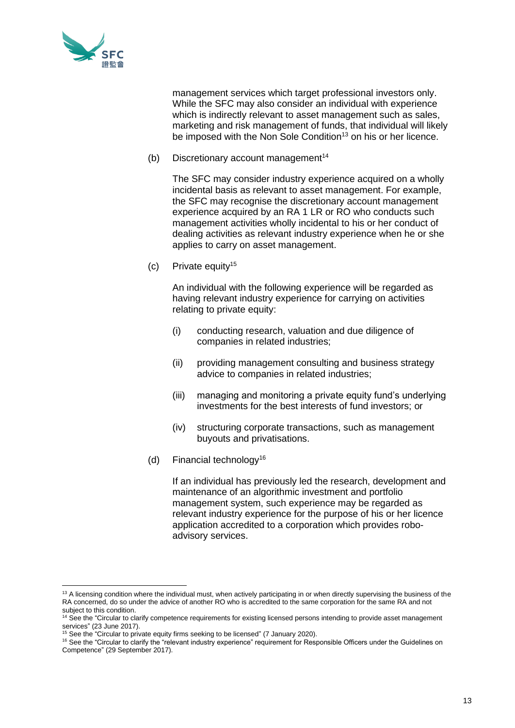

management services which target professional investors only. While the SFC may also consider an individual with experience which is indirectly relevant to asset management such as sales, marketing and risk management of funds, that individual will likely be imposed with the Non Sole Condition<sup>13</sup> on his or her licence.

(b) Discretionary account management<sup>14</sup>

The SFC may consider industry experience acquired on a wholly incidental basis as relevant to asset management. For example, the SFC may recognise the discretionary account management experience acquired by an RA 1 LR or RO who conducts such management activities wholly incidental to his or her conduct of dealing activities as relevant industry experience when he or she applies to carry on asset management.

(c) Private equity<sup>15</sup>

An individual with the following experience will be regarded as having relevant industry experience for carrying on activities relating to private equity:

- (i) conducting research, valuation and due diligence of companies in related industries;
- (ii) providing management consulting and business strategy advice to companies in related industries;
- (iii) managing and monitoring a private equity fund's underlying investments for the best interests of fund investors; or
- (iv) structuring corporate transactions, such as management buyouts and privatisations.
- (d) Financial technology<sup>16</sup>

If an individual has previously led the research, development and maintenance of an algorithmic investment and portfolio management system, such experience may be regarded as relevant industry experience for the purpose of his or her licence application accredited to a corporation which provides roboadvisory services.

<sup>&</sup>lt;sup>13</sup> A licensing condition where the individual must, when actively participating in or when directly supervising the business of the RA concerned, do so under the advice of another RO who is accredited to the same corporation for the same RA and not subject to this condition.

<sup>&</sup>lt;sup>14</sup> See the "Circular to clarify competence requirements for existing licensed persons intending to provide asset management services" (23 June 2017).

<sup>&</sup>lt;sup>15</sup> See the "Circular to private equity firms seeking to be licensed" (7 January 2020).

<sup>&</sup>lt;sup>16</sup> See the "Circular to clarify the "relevant industry experience" requirement for Responsible Officers under the Guidelines on Competence" (29 September 2017).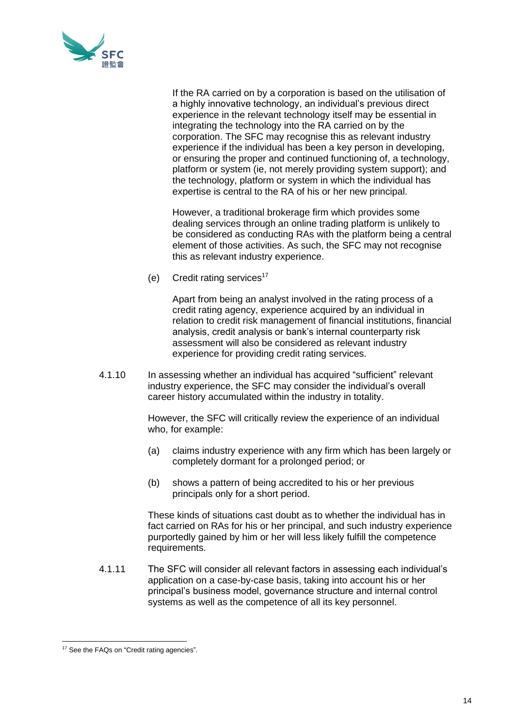

If the RA carried on by a corporation is based on the utilisation of a highly innovative technology, an individual's previous direct experience in the relevant technology itself may be essential in integrating the technology into the RA carried on by the corporation. The SFC may recognise this as relevant industry experience if the individual has been a key person in developing, or ensuring the proper and continued functioning of, a technology, platform or system (ie, not merely providing system support); and the technology, platform or system in which the individual has expertise is central to the RA of his or her new principal.

However, a traditional brokerage firm which provides some dealing services through an online trading platform is unlikely to be considered as conducting RAs with the platform being a central element of those activities. As such, the SFC may not recognise this as relevant industry experience.

(e) Credit rating services<sup>17</sup>

Apart from being an analyst involved in the rating process of a credit rating agency, experience acquired by an individual in relation to credit risk management of financial institutions, financial analysis, credit analysis or bank's internal counterparty risk assessment will also be considered as relevant industry experience for providing credit rating services.

4.1.10 In assessing whether an individual has acquired "sufficient" relevant industry experience, the SFC may consider the individual's overall career history accumulated within the industry in totality.

> However, the SFC will critically review the experience of an individual who, for example:

- (a) claims industry experience with any firm which has been largely or completely dormant for a prolonged period; or
- (b) shows a pattern of being accredited to his or her previous principals only for a short period.

These kinds of situations cast doubt as to whether the individual has in fact carried on RAs for his or her principal, and such industry experience purportedly gained by him or her will less likely fulfill the competence requirements.

4.1.11 The SFC will consider all relevant factors in assessing each individual's application on a case-by-case basis, taking into account his or her principal's business model, governance structure and internal control systems as well as the competence of all its key personnel.

<sup>17</sup> See the FAQs on "Credit rating agencies"*.*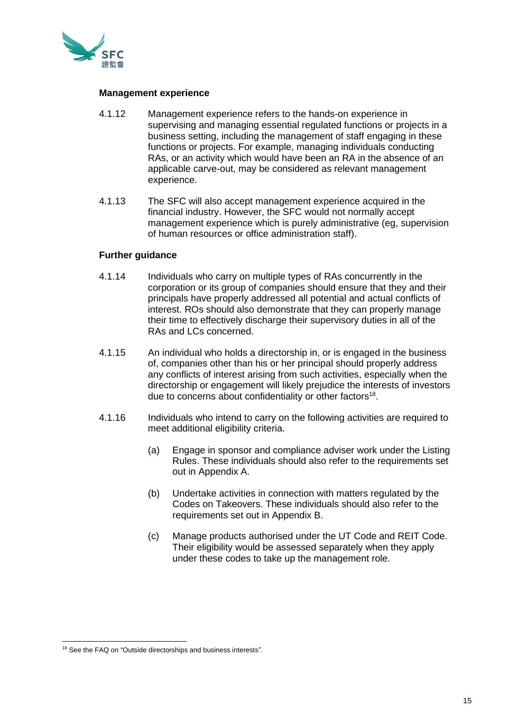

#### **Management experience**

- 4.1.12 Management experience refers to the hands-on experience in supervising and managing essential regulated functions or projects in a business setting, including the management of staff engaging in these functions or projects. For example, managing individuals conducting RAs, or an activity which would have been an RA in the absence of an applicable carve-out, may be considered as relevant management experience.
- 4.1.13 The SFC will also accept management experience acquired in the financial industry. However, the SFC would not normally accept management experience which is purely administrative (eg, supervision of human resources or office administration staff).

## **Further guidance**

- 4.1.14 Individuals who carry on multiple types of RAs concurrently in the corporation or its group of companies should ensure that they and their principals have properly addressed all potential and actual conflicts of interest. ROs should also demonstrate that they can properly manage their time to effectively discharge their supervisory duties in all of the RAs and LCs concerned.
- 4.1.15 An individual who holds a directorship in, or is engaged in the business of, companies other than his or her principal should properly address any conflicts of interest arising from such activities, especially when the directorship or engagement will likely prejudice the interests of investors due to concerns about confidentiality or other factors<sup>18</sup>.
- 4.1.16 Individuals who intend to carry on the following activities are required to meet additional eligibility criteria.
	- (a) Engage in sponsor and compliance adviser work under the Listing Rules. These individuals should also refer to the requirements set out in Appendix A.
	- (b) Undertake activities in connection with matters regulated by the Codes on Takeovers. These individuals should also refer to the requirements set out in Appendix B.
	- (c) Manage products authorised under the UT Code and REIT Code. Their eligibility would be assessed separately when they apply under these codes to take up the management role.

<sup>18</sup> See the FAQ on "Outside directorships and business interests".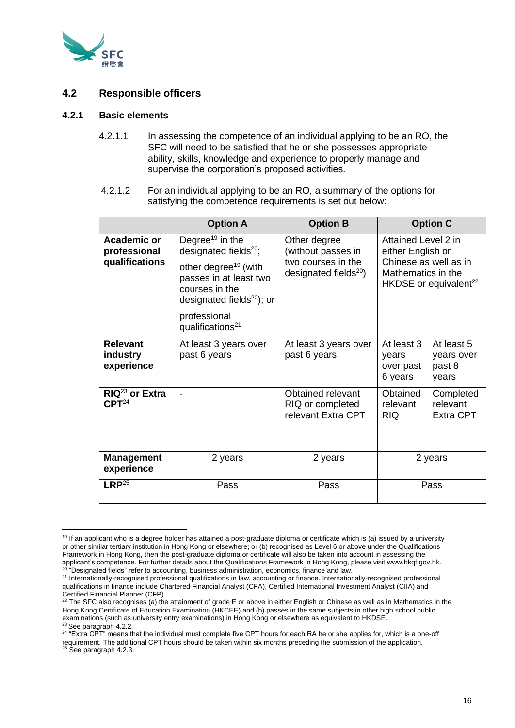

# **4.2 Responsible officers**

#### **4.2.1 Basic elements**

- 4.2.1.1 In assessing the competence of an individual applying to be an RO, the SFC will need to be satisfied that he or she possesses appropriate ability, skills, knowledge and experience to properly manage and supervise the corporation's proposed activities.
- 4.2.1.2 For an individual applying to be an RO, a summary of the options for satisfying the competence requirements is set out below:

|                                                                                                                                                                                                                                                                                             | <b>Option A</b>                       | <b>Option B</b>                                                                               | <b>Option C</b>                                                                                                              |  |
|---------------------------------------------------------------------------------------------------------------------------------------------------------------------------------------------------------------------------------------------------------------------------------------------|---------------------------------------|-----------------------------------------------------------------------------------------------|------------------------------------------------------------------------------------------------------------------------------|--|
| Degree <sup>19</sup> in the<br><b>Academic or</b><br>designated fields <sup>20</sup> ;<br>professional<br>qualifications<br>other degree <sup>19</sup> (with<br>passes in at least two<br>courses in the<br>designated fields $^{20}$ ); or<br>professional<br>qualifications <sup>21</sup> |                                       | Other degree<br>(without passes in<br>two courses in the<br>designated fields <sup>20</sup> ) | Attained Level 2 in<br>either English or<br>Chinese as well as in<br>Mathematics in the<br>HKDSE or equivalent <sup>22</sup> |  |
| <b>Relevant</b><br>industry<br>experience                                                                                                                                                                                                                                                   | At least 3 years over<br>past 6 years | At least 3 years over<br>past 6 years                                                         | At least 5<br>At least 3<br>years over<br>years<br>past 8<br>over past<br>6 years<br>years                                   |  |
| $RIQ^{23}$ or Extra<br>CPT <sup>24</sup>                                                                                                                                                                                                                                                    |                                       | Obtained relevant<br>RIQ or completed<br>relevant Extra CPT                                   | Obtained<br>Completed<br>relevant<br>relevant<br><b>RIQ</b><br><b>Extra CPT</b>                                              |  |
| <b>Management</b><br>experience                                                                                                                                                                                                                                                             | 2 years                               | 2 years                                                                                       | 2 years                                                                                                                      |  |
| $LRP^{25}$                                                                                                                                                                                                                                                                                  | Pass                                  | Pass                                                                                          | Pass                                                                                                                         |  |

<sup>&</sup>lt;sup>19</sup> If an applicant who is a degree holder has attained a post-graduate diploma or certificate which is (a) issued by a university or other similar tertiary institution in Hong Kong or elsewhere; or (b) recognised as Level 6 or above under the Qualifications Framework in Hong Kong, then the post-graduate diploma or certificate will also be taken into account in assessing the applicant's competence. For further details about the Qualifications Framework in Hong Kong, please visit www.hkqf.gov.hk.  $20$  "Designated fields" refer to accounting, business administration, economics, finance and law.

<sup>&</sup>lt;sup>21</sup> Internationally-recognised professional qualifications in law, accounting or finance. Internationally-recognised professional qualifications in finance include Chartered Financial Analyst (CFA), Certified International Investment Analyst (CIIA) and Certified Financial Planner (CFP).

 $22$  The SFC also recognises (a) the attainment of grade E or above in either English or Chinese as well as in Mathematics in the Hong Kong Certificate of Education Examination (HKCEE) and (b) passes in the same subjects in other high school public examinations (such as university entry examinations) in Hong Kong or elsewhere as equivalent to HKDSE. <sup>23</sup> See paragraph 4.2.2.

<sup>&</sup>lt;sup>24</sup> "Extra CPT" means that the individual must complete five CPT hours for each RA he or she applies for, which is a one-off requirement. The additional CPT hours should be taken within six months preceding the submission of the application.  $25$  See paragraph 4.2.3.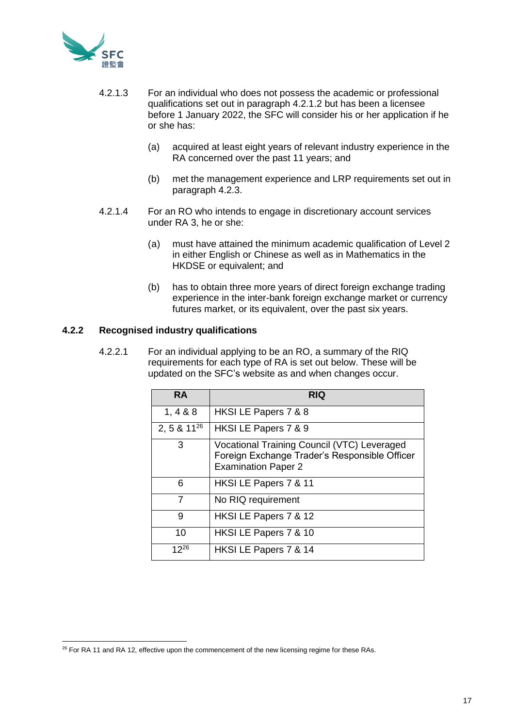

- 4.2.1.3 For an individual who does not possess the academic or professional qualifications set out in paragraph 4.2.1.2 but has been a licensee before 1 January 2022, the SFC will consider his or her application if he or she has:
	- (a) acquired at least eight years of relevant industry experience in the RA concerned over the past 11 years; and
	- (b) met the management experience and LRP requirements set out in paragraph 4.2.3.
- 4.2.1.4 For an RO who intends to engage in discretionary account services under RA 3, he or she:
	- (a) must have attained the minimum academic qualification of Level 2 in either English or Chinese as well as in Mathematics in the HKDSE or equivalent; and
	- (b) has to obtain three more years of direct foreign exchange trading experience in the inter-bank foreign exchange market or currency futures market, or its equivalent, over the past six years.

# **4.2.2 Recognised industry qualifications**

4.2.2.1 For an individual applying to be an RO, a summary of the RIQ requirements for each type of RA is set out below. These will be updated on the SFC's website as and when changes occur.

| <b>RA</b>        | <b>RIQ</b>                                                                                                                 |
|------------------|----------------------------------------------------------------------------------------------------------------------------|
| 1, 488           | HKSI LE Papers 7 & 8                                                                                                       |
| 2, 5 & $11^{26}$ | HKSI LE Papers 7 & 9                                                                                                       |
| 3                | Vocational Training Council (VTC) Leveraged<br>Foreign Exchange Trader's Responsible Officer<br><b>Examination Paper 2</b> |
| 6                | HKSI LE Papers 7 & 11                                                                                                      |
| 7                | No RIQ requirement                                                                                                         |
| 9                | HKSI LE Papers 7 & 12                                                                                                      |
| 10               | HKSI LE Papers 7 & 10                                                                                                      |
| $12^{26}$        | HKSI LE Papers 7 & 14                                                                                                      |

<sup>&</sup>lt;sup>26</sup> For RA 11 and RA 12, effective upon the commencement of the new licensing regime for these RAs.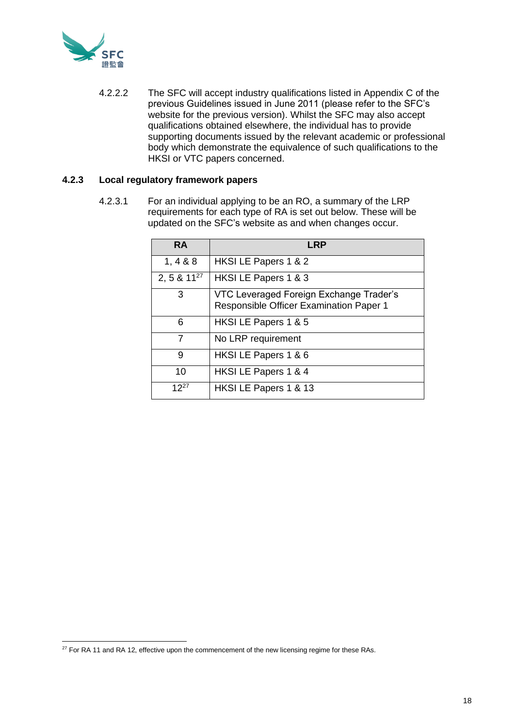

4.2.2.2 The SFC will accept industry qualifications listed in Appendix C of the previous Guidelines issued in June 2011 (please refer to the SFC's website for the previous version). Whilst the SFC may also accept qualifications obtained elsewhere, the individual has to provide supporting documents issued by the relevant academic or professional body which demonstrate the equivalence of such qualifications to the HKSI or VTC papers concerned.

# **4.2.3 Local regulatory framework papers**

4.2.3.1 For an individual applying to be an RO, a summary of the LRP requirements for each type of RA is set out below. These will be updated on the SFC's website as and when changes occur.

| <b>RA</b>        | LRP                                                                                       |
|------------------|-------------------------------------------------------------------------------------------|
| 1, 4 & 8 & 8     | HKSI LE Papers 1 & 2                                                                      |
| 2, 5 & $11^{27}$ | HKSI LE Papers 1 & 3                                                                      |
| 3                | VTC Leveraged Foreign Exchange Trader's<br><b>Responsible Officer Examination Paper 1</b> |
| 6                | HKSI LE Papers 1 & 5                                                                      |
| 7                | No LRP requirement                                                                        |
| 9                | HKSI LE Papers 1 & 6                                                                      |
| 10               | HKSI LE Papers 1 & 4                                                                      |
| $12^{27}$        | HKSI LE Papers 1 & 13                                                                     |

<sup>&</sup>lt;sup>27</sup> For RA 11 and RA 12, effective upon the commencement of the new licensing regime for these RAs.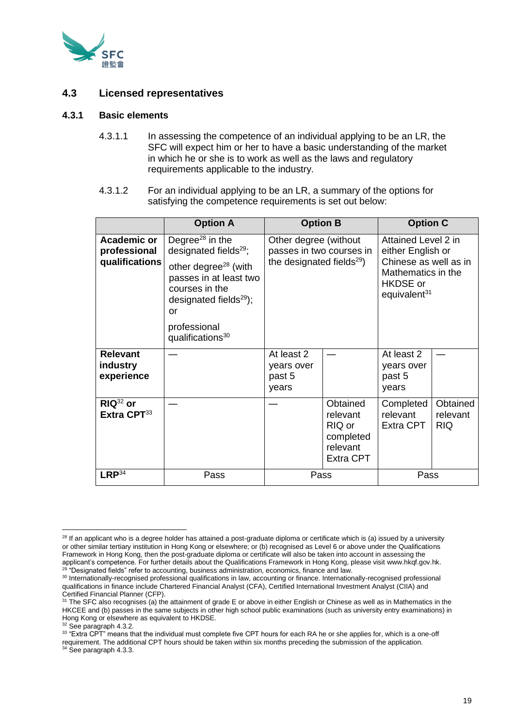

# **4.3 Licensed representatives**

#### **4.3.1 Basic elements**

- 4.3.1.1 In assessing the competence of an individual applying to be an LR, the SFC will expect him or her to have a basic understanding of the market in which he or she is to work as well as the laws and regulatory requirements applicable to the industry.
- 4.3.1.2 For an individual applying to be an LR, a summary of the options for satisfying the competence requirements is set out below:

|                                                      | <b>Option A</b>                                                                                                                                                                                                                        | <b>Option B</b>                                                                            |                                                                             | <b>Option C</b>                                                                                                                        |                                    |
|------------------------------------------------------|----------------------------------------------------------------------------------------------------------------------------------------------------------------------------------------------------------------------------------------|--------------------------------------------------------------------------------------------|-----------------------------------------------------------------------------|----------------------------------------------------------------------------------------------------------------------------------------|------------------------------------|
| <b>Academic or</b><br>professional<br>qualifications | Degree <sup>28</sup> in the<br>designated fields <sup>29</sup> ;<br>other degree <sup>28</sup> (with<br>passes in at least two<br>courses in the<br>designated fields $^{29}$ );<br>or<br>professional<br>qualifications <sup>30</sup> | Other degree (without<br>passes in two courses in<br>the designated fields <sup>29</sup> ) |                                                                             | Attained Level 2 in<br>either English or<br>Chinese as well as in<br>Mathematics in the<br><b>HKDSE</b> or<br>equivalent <sup>31</sup> |                                    |
| <b>Relevant</b><br>industry<br>experience            |                                                                                                                                                                                                                                        | At least 2<br>years over<br>past 5<br>years                                                |                                                                             | At least 2<br>years over<br>past 5<br>years                                                                                            |                                    |
| $RIQ^{32}$ or<br>Extra CPT <sup>33</sup>             |                                                                                                                                                                                                                                        |                                                                                            | Obtained<br>relevant<br>RIQ or<br>completed<br>relevant<br><b>Extra CPT</b> | Completed<br>relevant<br>Extra CPT                                                                                                     | Obtained<br>relevant<br><b>RIQ</b> |
| $LRP^{34}$                                           | Pass                                                                                                                                                                                                                                   | Pass                                                                                       |                                                                             | Pass                                                                                                                                   |                                    |

<sup>&</sup>lt;sup>28</sup> If an applicant who is a degree holder has attained a post-graduate diploma or certificate which is (a) issued by a university or other similar tertiary institution in Hong Kong or elsewhere; or (b) recognised as Level 6 or above under the Qualifications Framework in Hong Kong, then the post-graduate diploma or certificate will also be taken into account in assessing the applicant's competence. For further details about the Qualifications Framework in Hong Kong, please visit www.hkqf.gov.hk.  $29$  "Designated fields" refer to accounting, business administration, economics, finance and law.

<sup>&</sup>lt;sup>30</sup> Internationally-recognised professional qualifications in law, accounting or finance. Internationally-recognised professional qualifications in finance include Chartered Financial Analyst (CFA), Certified International Investment Analyst (CIIA) and Certified Financial Planner (CFP).

 $31$  The SFC also recognises (a) the attainment of grade E or above in either English or Chinese as well as in Mathematics in the HKCEE and (b) passes in the same subjects in other high school public examinations (such as university entry examinations) in Hong Kong or elsewhere as equivalent to HKDSE.

<sup>&</sup>lt;sup>32</sup> See paragraph 4.3.2.

<sup>&</sup>lt;sup>33</sup> "Extra CPT" means that the individual must complete five CPT hours for each RA he or she applies for, which is a one-off requirement. The additional CPT hours should be taken within six months preceding the submission of the application. <sup>34</sup> See paragraph 4.3.3.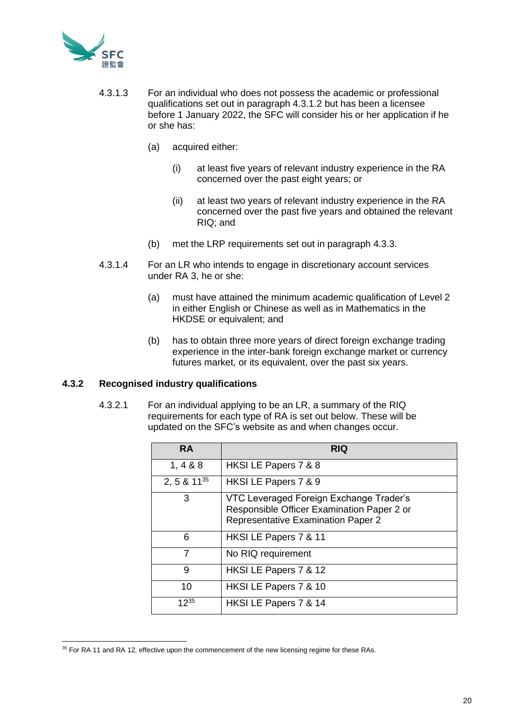

- 4.3.1.3 For an individual who does not possess the academic or professional qualifications set out in paragraph 4.3.1.2 but has been a licensee before 1 January 2022, the SFC will consider his or her application if he or she has:
	- (a) acquired either:
		- (i) at least five years of relevant industry experience in the RA concerned over the past eight years; or
		- (ii) at least two years of relevant industry experience in the RA concerned over the past five years and obtained the relevant RIQ; and
	- (b) met the LRP requirements set out in paragraph 4.3.3.
- 4.3.1.4 For an LR who intends to engage in discretionary account services under RA 3, he or she:
	- (a) must have attained the minimum academic qualification of Level 2 in either English or Chinese as well as in Mathematics in the HKDSE or equivalent; and
	- (b) has to obtain three more years of direct foreign exchange trading experience in the inter-bank foreign exchange market or currency futures market, or its equivalent, over the past six years.

# **4.3.2 Recognised industry qualifications**

4.3.2.1 For an individual applying to be an LR, a summary of the RIQ requirements for each type of RA is set out below. These will be updated on the SFC's website as and when changes occur.

| <b>RA</b>        | <b>RIQ</b>                                                                                                                         |  |
|------------------|------------------------------------------------------------------------------------------------------------------------------------|--|
| 1, 4 & 8 & 8     | HKSI LE Papers 7 & 8                                                                                                               |  |
| 2, 5 & $11^{35}$ | HKSI LE Papers 7 & 9                                                                                                               |  |
| 3                | VTC Leveraged Foreign Exchange Trader's<br>Responsible Officer Examination Paper 2 or<br><b>Representative Examination Paper 2</b> |  |
| 6                | HKSI LE Papers 7 & 11                                                                                                              |  |
| 7                | No RIQ requirement                                                                                                                 |  |
| 9                | HKSI LE Papers 7 & 12                                                                                                              |  |
| 10               | HKSI LE Papers 7 & 10                                                                                                              |  |
| $12^{35}$        | HKSI LE Papers 7 & 14                                                                                                              |  |

<sup>&</sup>lt;sup>35</sup> For RA 11 and RA 12, effective upon the commencement of the new licensing regime for these RAs.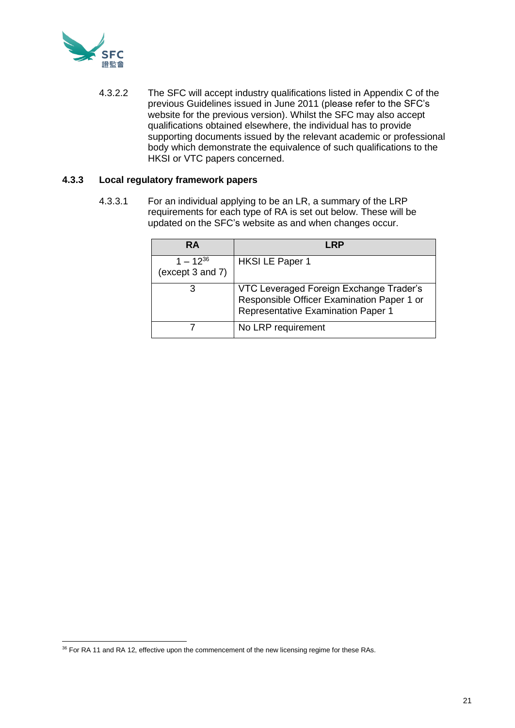

4.3.2.2 The SFC will accept industry qualifications listed in Appendix C of the previous Guidelines issued in June 2011 (please refer to the SFC's website for the previous version). Whilst the SFC may also accept qualifications obtained elsewhere, the individual has to provide supporting documents issued by the relevant academic or professional body which demonstrate the equivalence of such qualifications to the HKSI or VTC papers concerned.

# **4.3.3 Local regulatory framework papers**

4.3.3.1 For an individual applying to be an LR, a summary of the LRP requirements for each type of RA is set out below. These will be updated on the SFC's website as and when changes occur.

| <b>RA</b>                         | <b>RP</b>                                                                                                                   |
|-----------------------------------|-----------------------------------------------------------------------------------------------------------------------------|
| $1 - 12^{36}$<br>(except 3 and 7) | <b>HKSILE Paper 1</b>                                                                                                       |
| З                                 | VTC Leveraged Foreign Exchange Trader's<br>Responsible Officer Examination Paper 1 or<br>Representative Examination Paper 1 |
|                                   | No LRP requirement                                                                                                          |

<sup>&</sup>lt;sup>36</sup> For RA 11 and RA 12, effective upon the commencement of the new licensing regime for these RAs.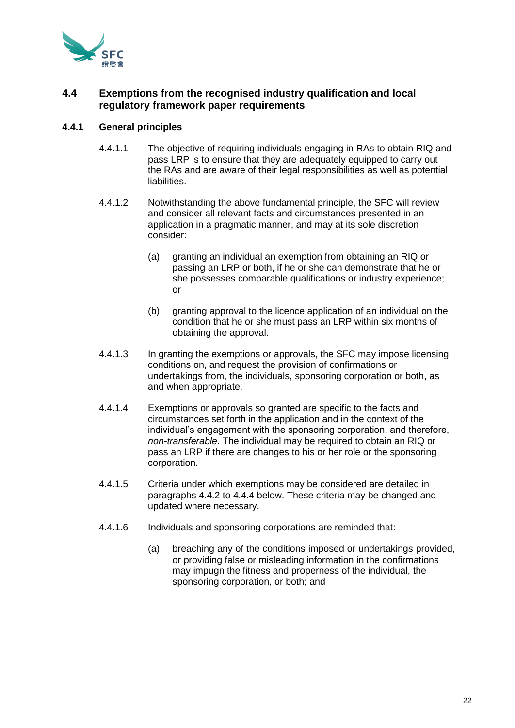

# **4.4 Exemptions from the recognised industry qualification and local regulatory framework paper requirements**

# **4.4.1 General principles**

- 4.4.1.1 The objective of requiring individuals engaging in RAs to obtain RIQ and pass LRP is to ensure that they are adequately equipped to carry out the RAs and are aware of their legal responsibilities as well as potential liabilities.
- 4.4.1.2 Notwithstanding the above fundamental principle, the SFC will review and consider all relevant facts and circumstances presented in an application in a pragmatic manner, and may at its sole discretion consider:
	- (a) granting an individual an exemption from obtaining an RIQ or passing an LRP or both, if he or she can demonstrate that he or she possesses comparable qualifications or industry experience; or
	- (b) granting approval to the licence application of an individual on the condition that he or she must pass an LRP within six months of obtaining the approval.
- 4.4.1.3 In granting the exemptions or approvals, the SFC may impose licensing conditions on, and request the provision of confirmations or undertakings from, the individuals, sponsoring corporation or both, as and when appropriate.
- 4.4.1.4 Exemptions or approvals so granted are specific to the facts and circumstances set forth in the application and in the context of the individual's engagement with the sponsoring corporation, and therefore, *non-transferable*. The individual may be required to obtain an RIQ or pass an LRP if there are changes to his or her role or the sponsoring corporation.
- 4.4.1.5 Criteria under which exemptions may be considered are detailed in paragraphs 4.4.2 to 4.4.4 below. These criteria may be changed and updated where necessary.
- 4.4.1.6 Individuals and sponsoring corporations are reminded that:
	- (a) breaching any of the conditions imposed or undertakings provided, or providing false or misleading information in the confirmations may impugn the fitness and properness of the individual, the sponsoring corporation, or both; and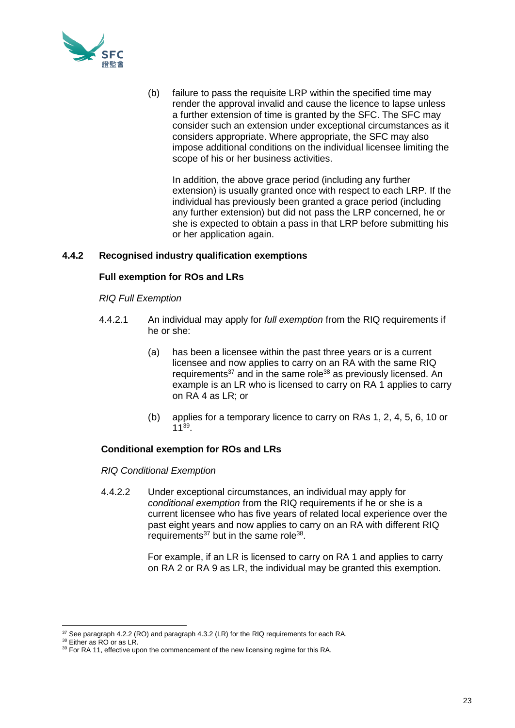

(b) failure to pass the requisite LRP within the specified time may render the approval invalid and cause the licence to lapse unless a further extension of time is granted by the SFC. The SFC may consider such an extension under exceptional circumstances as it considers appropriate. Where appropriate, the SFC may also impose additional conditions on the individual licensee limiting the scope of his or her business activities.

In addition, the above grace period (including any further extension) is usually granted once with respect to each LRP. If the individual has previously been granted a grace period (including any further extension) but did not pass the LRP concerned, he or she is expected to obtain a pass in that LRP before submitting his or her application again.

# **4.4.2 Recognised industry qualification exemptions**

# **Full exemption for ROs and LRs**

# *RIQ Full Exemption*

- 4.4.2.1 An individual may apply for *full exemption* from the RIQ requirements if he or she:
	- (a) has been a licensee within the past three years or is a current licensee and now applies to carry on an RA with the same RIQ requirements<sup>37</sup> and in the same role<sup>38</sup> as previously licensed. An example is an LR who is licensed to carry on RA 1 applies to carry on RA 4 as LR; or
	- (b) applies for a temporary licence to carry on RAs 1, 2, 4, 5, 6, 10 or 11<sup>39</sup> .

# **Conditional exemption for ROs and LRs**

*RIQ Conditional Exemption*

4.4.2.2 Under exceptional circumstances, an individual may apply for *conditional exemption* from the RIQ requirements if he or she is a current licensee who has five years of related local experience over the past eight years and now applies to carry on an RA with different RIQ requirements<sup>37</sup> but in the same role<sup>38</sup>.

> For example, if an LR is licensed to carry on RA 1 and applies to carry on RA 2 or RA 9 as LR, the individual may be granted this exemption.

<sup>&</sup>lt;sup>37</sup> See paragraph 4.2.2 (RO) and paragraph 4.3.2 (LR) for the RIQ requirements for each RA.

<sup>&</sup>lt;sup>38</sup> Either as RO or as LR.

<sup>&</sup>lt;sup>39</sup> For RA 11, effective upon the commencement of the new licensing regime for this RA.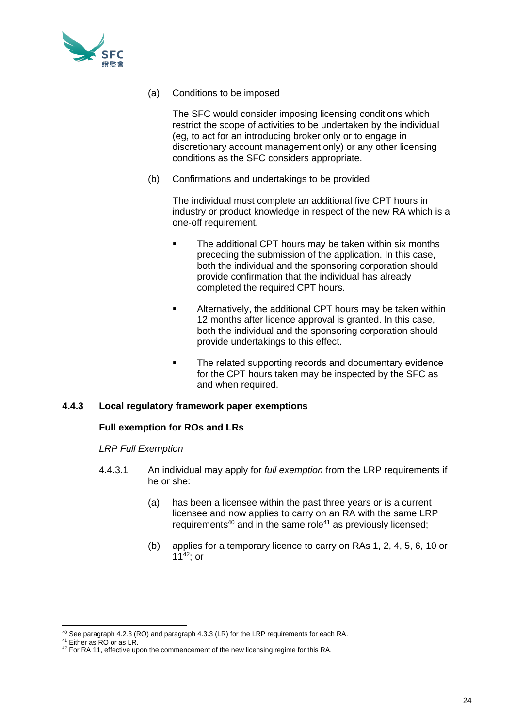

(a) Conditions to be imposed

The SFC would consider imposing licensing conditions which restrict the scope of activities to be undertaken by the individual (eg, to act for an introducing broker only or to engage in discretionary account management only) or any other licensing conditions as the SFC considers appropriate.

(b) Confirmations and undertakings to be provided

The individual must complete an additional five CPT hours in industry or product knowledge in respect of the new RA which is a one-off requirement.

- The additional CPT hours may be taken within six months preceding the submission of the application. In this case, both the individual and the sponsoring corporation should provide confirmation that the individual has already completed the required CPT hours.
- **EXECT** Alternatively, the additional CPT hours may be taken within 12 months after licence approval is granted. In this case, both the individual and the sponsoring corporation should provide undertakings to this effect.
- The related supporting records and documentary evidence for the CPT hours taken may be inspected by the SFC as and when required.

# **4.4.3 Local regulatory framework paper exemptions**

# **Full exemption for ROs and LRs**

# *LRP Full Exemption*

- 4.4.3.1 An individual may apply for *full exemption* from the LRP requirements if he or she:
	- (a) has been a licensee within the past three years or is a current licensee and now applies to carry on an RA with the same LRP requirements<sup>40</sup> and in the same role<sup>41</sup> as previously licensed;
	- (b) applies for a temporary licence to carry on RAs 1, 2, 4, 5, 6, 10 or 11 $42$ ; or

<sup>40</sup> See paragraph 4.2.3 (RO) and paragraph 4.3.3 (LR) for the LRP requirements for each RA.

<sup>&</sup>lt;sup>41</sup> Either as RO or as LR.

<sup>42</sup> For RA 11, effective upon the commencement of the new licensing regime for this RA.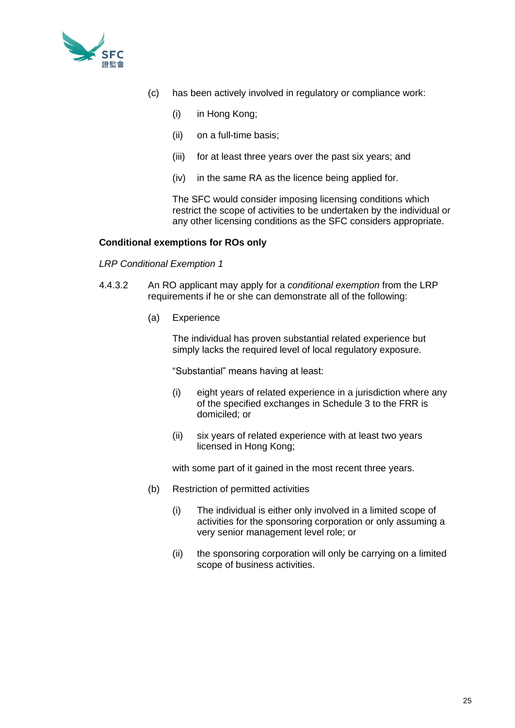

- (c) has been actively involved in regulatory or compliance work:
	- (i) in Hong Kong;
	- (ii) on a full-time basis;
	- (iii) for at least three years over the past six years; and
	- (iv) in the same RA as the licence being applied for.

The SFC would consider imposing licensing conditions which restrict the scope of activities to be undertaken by the individual or any other licensing conditions as the SFC considers appropriate.

## **Conditional exemptions for ROs only**

## *LRP Conditional Exemption 1*

- 4.4.3.2 An RO applicant may apply for a *conditional exemption* from the LRP requirements if he or she can demonstrate all of the following:
	- (a) Experience

The individual has proven substantial related experience but simply lacks the required level of local regulatory exposure.

"Substantial" means having at least:

- (i) eight years of related experience in a jurisdiction where any of the specified exchanges in Schedule 3 to the FRR is domiciled; or
- (ii) six years of related experience with at least two years licensed in Hong Kong;

with some part of it gained in the most recent three years.

- (b) Restriction of permitted activities
	- (i) The individual is either only involved in a limited scope of activities for the sponsoring corporation or only assuming a very senior management level role; or
	- (ii) the sponsoring corporation will only be carrying on a limited scope of business activities.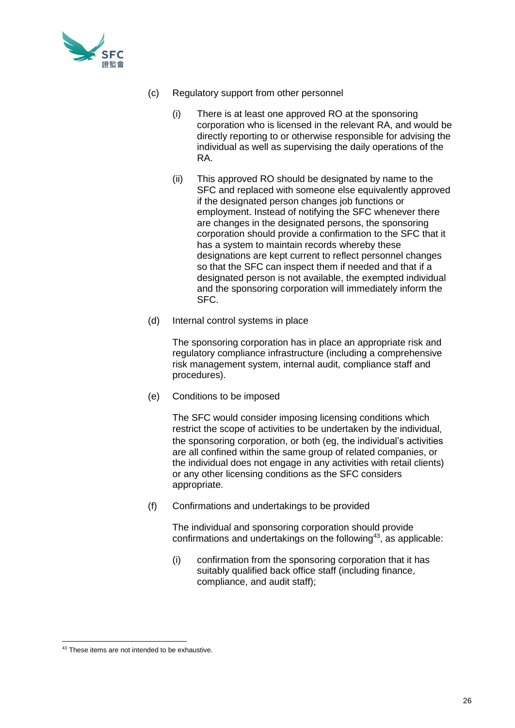

- (c) Regulatory support from other personnel
	- (i) There is at least one approved RO at the sponsoring corporation who is licensed in the relevant RA, and would be directly reporting to or otherwise responsible for advising the individual as well as supervising the daily operations of the RA.
	- (ii) This approved RO should be designated by name to the SFC and replaced with someone else equivalently approved if the designated person changes job functions or employment. Instead of notifying the SFC whenever there are changes in the designated persons, the sponsoring corporation should provide a confirmation to the SFC that it has a system to maintain records whereby these designations are kept current to reflect personnel changes so that the SFC can inspect them if needed and that if a designated person is not available, the exempted individual and the sponsoring corporation will immediately inform the SFC.
- (d) Internal control systems in place

The sponsoring corporation has in place an appropriate risk and regulatory compliance infrastructure (including a comprehensive risk management system, internal audit, compliance staff and procedures).

(e) Conditions to be imposed

The SFC would consider imposing licensing conditions which restrict the scope of activities to be undertaken by the individual, the sponsoring corporation, or both (eg, the individual's activities are all confined within the same group of related companies, or the individual does not engage in any activities with retail clients) or any other licensing conditions as the SFC considers appropriate.

(f) Confirmations and undertakings to be provided

The individual and sponsoring corporation should provide confirmations and undertakings on the following<sup>43</sup>, as applicable:

(i) confirmation from the sponsoring corporation that it has suitably qualified back office staff (including finance, compliance, and audit staff);

<sup>43</sup> These items are not intended to be exhaustive.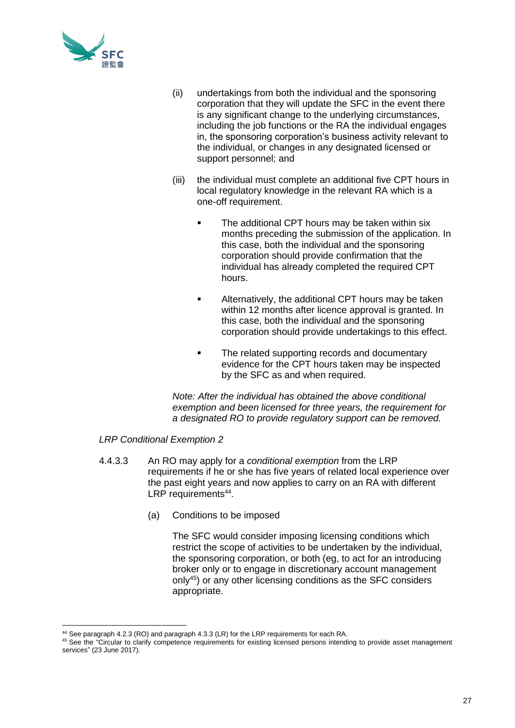

- (ii) undertakings from both the individual and the sponsoring corporation that they will update the SFC in the event there is any significant change to the underlying circumstances, including the job functions or the RA the individual engages in, the sponsoring corporation's business activity relevant to the individual, or changes in any designated licensed or support personnel; and
- (iii) the individual must complete an additional five CPT hours in local regulatory knowledge in the relevant RA which is a one-off requirement.
	- The additional CPT hours may be taken within six months preceding the submission of the application. In this case, both the individual and the sponsoring corporation should provide confirmation that the individual has already completed the required CPT hours.
	- Alternatively, the additional CPT hours may be taken within 12 months after licence approval is granted. In this case, both the individual and the sponsoring corporation should provide undertakings to this effect.
	- The related supporting records and documentary evidence for the CPT hours taken may be inspected by the SFC as and when required.

*Note: After the individual has obtained the above conditional exemption and been licensed for three years, the requirement for a designated RO to provide regulatory support can be removed.*

# *LRP Conditional Exemption 2*

- 4.4.3.3 An RO may apply for a *conditional exemption* from the LRP requirements if he or she has five years of related local experience over the past eight years and now applies to carry on an RA with different LRP requirements<sup>44</sup>.
	- (a) Conditions to be imposed

The SFC would consider imposing licensing conditions which restrict the scope of activities to be undertaken by the individual, the sponsoring corporation, or both (eg, to act for an introducing broker only or to engage in discretionary account management only<sup>45</sup>) or any other licensing conditions as the SFC considers appropriate.

<sup>44</sup> See paragraph 4.2.3 (RO) and paragraph 4.3.3 (LR) for the LRP requirements for each RA.

<sup>45</sup> See the "Circular to clarify competence requirements for existing licensed persons intending to provide asset management services" (23 June 2017).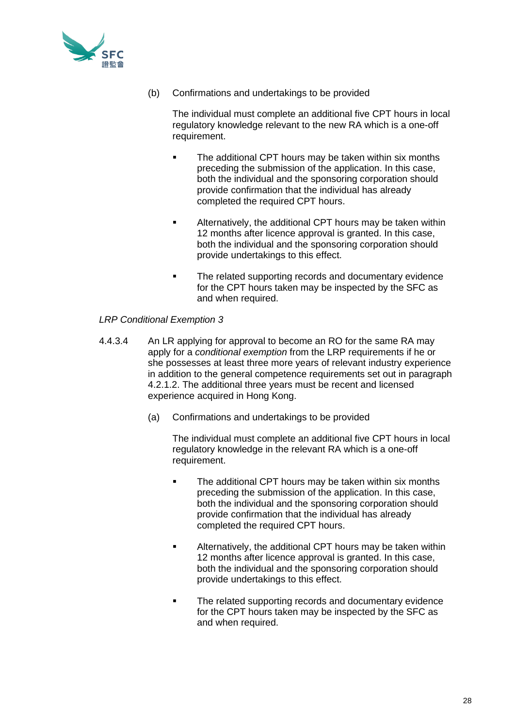

(b) Confirmations and undertakings to be provided

The individual must complete an additional five CPT hours in local regulatory knowledge relevant to the new RA which is a one-off requirement.

- The additional CPT hours may be taken within six months preceding the submission of the application. In this case, both the individual and the sponsoring corporation should provide confirmation that the individual has already completed the required CPT hours.
- **■** Alternatively, the additional CPT hours may be taken within 12 months after licence approval is granted. In this case, both the individual and the sponsoring corporation should provide undertakings to this effect.
- The related supporting records and documentary evidence for the CPT hours taken may be inspected by the SFC as and when required.

# *LRP Conditional Exemption 3*

- 4.4.3.4 An LR applying for approval to become an RO for the same RA may apply for a *conditional exemption* from the LRP requirements if he or she possesses at least three more years of relevant industry experience in addition to the general competence requirements set out in paragraph 4.2.1.2. The additional three years must be recent and licensed experience acquired in Hong Kong.
	- (a) Confirmations and undertakings to be provided

The individual must complete an additional five CPT hours in local regulatory knowledge in the relevant RA which is a one-off requirement.

- **•** The additional CPT hours may be taken within six months preceding the submission of the application. In this case, both the individual and the sponsoring corporation should provide confirmation that the individual has already completed the required CPT hours.
- **EXED Alternatively, the additional CPT hours may be taken within** 12 months after licence approval is granted. In this case, both the individual and the sponsoring corporation should provide undertakings to this effect.
- The related supporting records and documentary evidence for the CPT hours taken may be inspected by the SFC as and when required.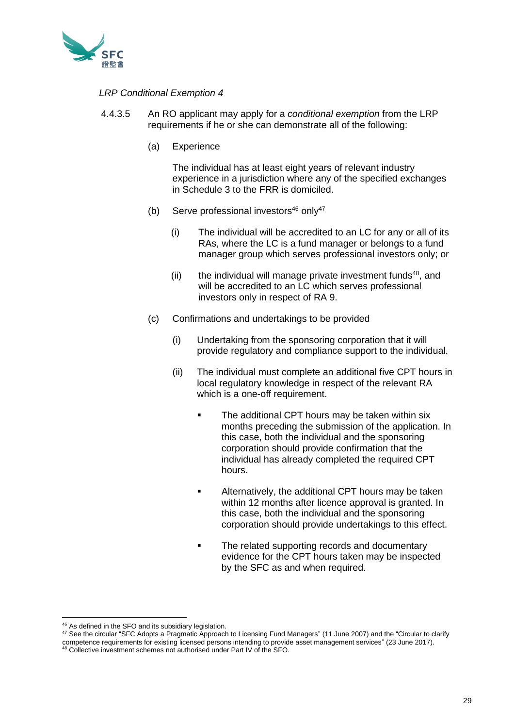

## *LRP Conditional Exemption 4*

- 4.4.3.5 An RO applicant may apply for a *conditional exemption* from the LRP requirements if he or she can demonstrate all of the following:
	- (a) Experience

The individual has at least eight years of relevant industry experience in a jurisdiction where any of the specified exchanges in Schedule 3 to the FRR is domiciled.

- (b) Serve professional investors $46$  only $47$ 
	- (i) The individual will be accredited to an LC for any or all of its RAs, where the LC is a fund manager or belongs to a fund manager group which serves professional investors only; or
	- (ii) the individual will manage private investment funds $48$ , and will be accredited to an LC which serves professional investors only in respect of RA 9.
- (c) Confirmations and undertakings to be provided
	- (i) Undertaking from the sponsoring corporation that it will provide regulatory and compliance support to the individual.
	- (ii) The individual must complete an additional five CPT hours in local regulatory knowledge in respect of the relevant RA which is a one-off requirement.
		- The additional CPT hours may be taken within six months preceding the submission of the application. In this case, both the individual and the sponsoring corporation should provide confirmation that the individual has already completed the required CPT hours.
		- **EXED Alternatively, the additional CPT hours may be taken** within 12 months after licence approval is granted. In this case, both the individual and the sponsoring corporation should provide undertakings to this effect.
		- **•** The related supporting records and documentary evidence for the CPT hours taken may be inspected by the SFC as and when required.

<sup>46</sup> As defined in the SFO and its subsidiary legislation.

<sup>47</sup> See the circular "SFC Adopts a Pragmatic Approach to Licensing Fund Managers" (11 June 2007) and the "Circular to clarify competence requirements for existing licensed persons intending to provide asset management services" (23 June 2017).

<sup>48</sup> Collective investment schemes not authorised under Part IV of the SFO.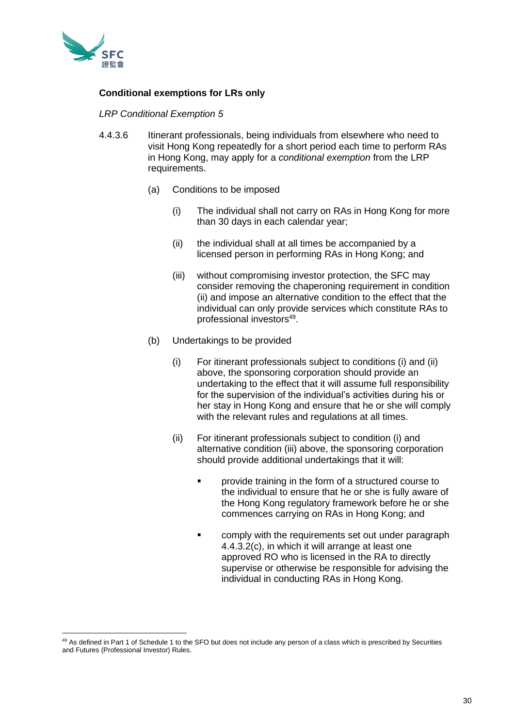

# **Conditional exemptions for LRs only**

## *LRP Conditional Exemption 5*

- 4.4.3.6 Itinerant professionals, being individuals from elsewhere who need to visit Hong Kong repeatedly for a short period each time to perform RAs in Hong Kong, may apply for a *conditional exemption* from the LRP requirements.
	- (a) Conditions to be imposed
		- (i) The individual shall not carry on RAs in Hong Kong for more than 30 days in each calendar year;
		- (ii) the individual shall at all times be accompanied by a licensed person in performing RAs in Hong Kong; and
		- (iii) without compromising investor protection, the SFC may consider removing the chaperoning requirement in condition (ii) and impose an alternative condition to the effect that the individual can only provide services which constitute RAs to professional investors<sup>49</sup>.
	- (b) Undertakings to be provided
		- (i) For itinerant professionals subject to conditions (i) and (ii) above, the sponsoring corporation should provide an undertaking to the effect that it will assume full responsibility for the supervision of the individual's activities during his or her stay in Hong Kong and ensure that he or she will comply with the relevant rules and regulations at all times.
		- (ii) For itinerant professionals subject to condition (i) and alternative condition (iii) above, the sponsoring corporation should provide additional undertakings that it will:
			- provide training in the form of a structured course to the individual to ensure that he or she is fully aware of the Hong Kong regulatory framework before he or she commences carrying on RAs in Hong Kong; and
			- comply with the requirements set out under paragraph 4.4.3.2(c), in which it will arrange at least one approved RO who is licensed in the RA to directly supervise or otherwise be responsible for advising the individual in conducting RAs in Hong Kong.

<sup>&</sup>lt;sup>49</sup> As defined in Part 1 of Schedule 1 to the SFO but does not include any person of a class which is prescribed by Securities and Futures (Professional Investor) Rules.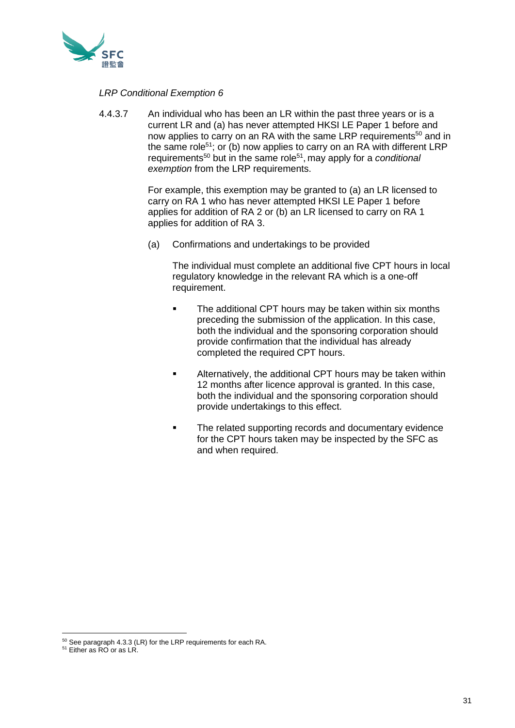

## *LRP Conditional Exemption 6*

4.4.3.7 An individual who has been an LR within the past three years or is a current LR and (a) has never attempted HKSI LE Paper 1 before and now applies to carry on an RA with the same LRP requirements<sup>50</sup> and in the same role<sup>51</sup>; or (b) now applies to carry on an RA with different LRP requirements<sup>50</sup> but in the same role<sup>51</sup>, may apply for a *conditional* **exemption** from the LRP requirements.

> For example, this exemption may be granted to (a) an LR licensed to carry on RA 1 who has never attempted HKSI LE Paper 1 before applies for addition of RA 2 or (b) an LR licensed to carry on RA 1 applies for addition of RA 3.

(a) Confirmations and undertakings to be provided

The individual must complete an additional five CPT hours in local regulatory knowledge in the relevant RA which is a one-off requirement.

- **•** The additional CPT hours may be taken within six months preceding the submission of the application. In this case, both the individual and the sponsoring corporation should provide confirmation that the individual has already completed the required CPT hours.
- **EXED Alternatively, the additional CPT hours may be taken within** 12 months after licence approval is granted. In this case, both the individual and the sponsoring corporation should provide undertakings to this effect.
- The related supporting records and documentary evidence for the CPT hours taken may be inspected by the SFC as and when required.

<sup>50</sup> See paragraph 4.3.3 (LR) for the LRP requirements for each RA.

<sup>&</sup>lt;sup>51</sup> Either as RO or as LR.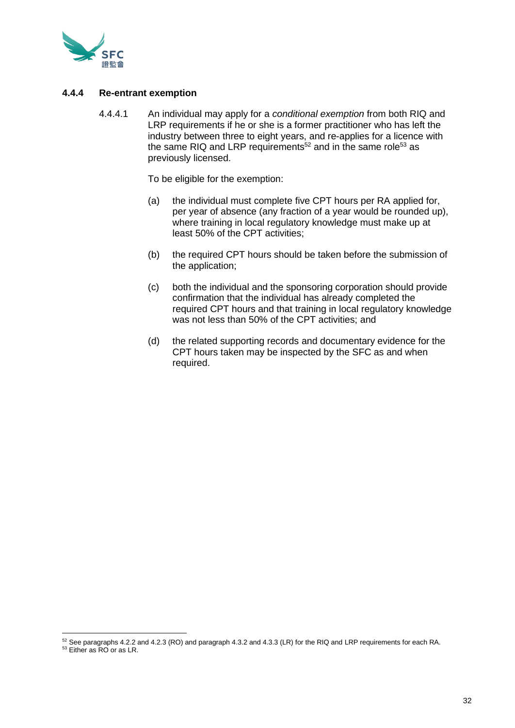

## **4.4.4 Re-entrant exemption**

4.4.4.1 An individual may apply for a *conditional exemption* from both RIQ and LRP requirements if he or she is a former practitioner who has left the industry between three to eight years, and re-applies for a licence with the same RIQ and LRP requirements<sup>52</sup> and in the same role<sup>53</sup> as previously licensed.

To be eligible for the exemption:

- (a) the individual must complete five CPT hours per RA applied for, per year of absence (any fraction of a year would be rounded up), where training in local regulatory knowledge must make up at least 50% of the CPT activities;
- (b) the required CPT hours should be taken before the submission of the application;
- (c) both the individual and the sponsoring corporation should provide confirmation that the individual has already completed the required CPT hours and that training in local regulatory knowledge was not less than 50% of the CPT activities; and
- (d) the related supporting records and documentary evidence for the CPT hours taken may be inspected by the SFC as and when required.

<sup>52</sup> See paragraphs 4.2.2 and 4.2.3 (RO) and paragraph 4.3.2 and 4.3.3 (LR) for the RIQ and LRP requirements for each RA.

<sup>&</sup>lt;sup>53</sup> Either as RO or as LR.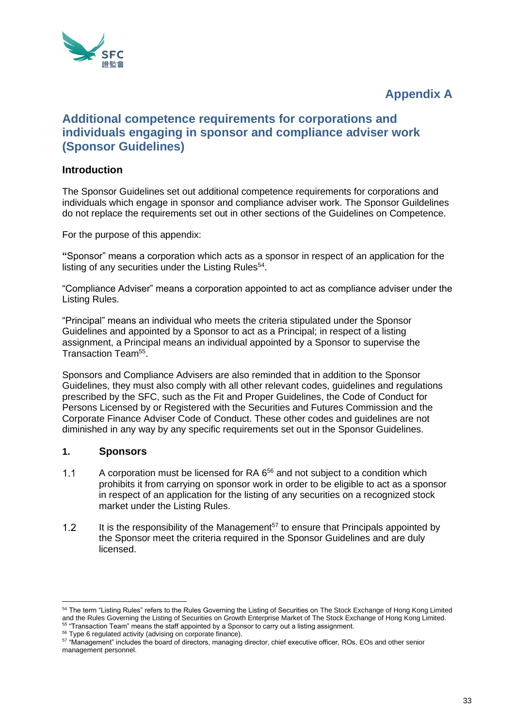

# **Appendix A**

# **Additional competence requirements for corporations and individuals engaging in sponsor and compliance adviser work (Sponsor Guidelines)**

# **Introduction**

The Sponsor Guidelines set out additional competence requirements for corporations and individuals which engage in sponsor and compliance adviser work. The Sponsor Guildelines do not replace the requirements set out in other sections of the Guidelines on Competence.

For the purpose of this appendix:

**"**Sponsor" means a corporation which acts as a sponsor in respect of an application for the listing of any securities under the Listing Rules<sup>54</sup>.

"Compliance Adviser" means a corporation appointed to act as compliance adviser under the Listing Rules.

"Principal" means an individual who meets the criteria stipulated under the Sponsor Guidelines and appointed by a Sponsor to act as a Principal; in respect of a listing assignment, a Principal means an individual appointed by a Sponsor to supervise the Transaction Team<sup>55</sup>.

Sponsors and Compliance Advisers are also reminded that in addition to the Sponsor Guidelines, they must also comply with all other relevant codes, guidelines and regulations prescribed by the SFC, such as the Fit and Proper Guidelines, the Code of Conduct for Persons Licensed by or Registered with the Securities and Futures Commission and the Corporate Finance Adviser Code of Conduct. These other codes and guidelines are not diminished in any way by any specific requirements set out in the Sponsor Guidelines.

# **1. Sponsors**

- A corporation must be licensed for RA 6<sup>56</sup> and not subject to a condition which  $1.1$ prohibits it from carrying on sponsor work in order to be eligible to act as a sponsor in respect of an application for the listing of any securities on a recognized stock market under the Listing Rules.
- It is the responsibility of the Management $57$  to ensure that Principals appointed by  $1.2$ the Sponsor meet the criteria required in the Sponsor Guidelines and are duly licensed.

<sup>&</sup>lt;sup>54</sup> The term "Listing Rules" refers to the Rules Governing the Listing of Securities on The Stock Exchange of Hong Kong Limited and the Rules Governing the Listing of Securities on Growth Enterprise Market of The Stock Exchange of Hong Kong Limited. <sup>55</sup> "Transaction Team" means the staff appointed by a Sponsor to carry out a listing assignment.

<sup>&</sup>lt;sup>56</sup> Type 6 regulated activity (advising on corporate finance).

<sup>57 &</sup>quot;Management" includes the board of directors, managing director, chief executive officer, ROs, EOs and other senior management personnel.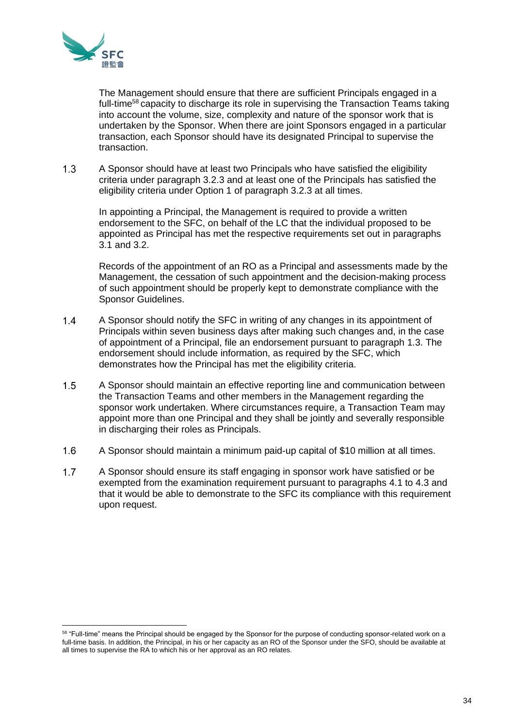

The Management should ensure that there are sufficient Principals engaged in a full-time<sup>58</sup> capacity to discharge its role in supervising the Transaction Teams taking into account the volume, size, complexity and nature of the sponsor work that is undertaken by the Sponsor. When there are joint Sponsors engaged in a particular transaction, each Sponsor should have its designated Principal to supervise the transaction.

 $1.3$ A Sponsor should have at least two Principals who have satisfied the eligibility criteria under paragraph 3.2.3 and at least one of the Principals has satisfied the eligibility criteria under Option 1 of paragraph 3.2.3 at all times.

In appointing a Principal, the Management is required to provide a written endorsement to the SFC, on behalf of the LC that the individual proposed to be appointed as Principal has met the respective requirements set out in paragraphs 3.1 and 3.2.

Records of the appointment of an RO as a Principal and assessments made by the Management, the cessation of such appointment and the decision-making process of such appointment should be properly kept to demonstrate compliance with the Sponsor Guidelines.

- $1.4$ A Sponsor should notify the SFC in writing of any changes in its appointment of Principals within seven business days after making such changes and, in the case of appointment of a Principal, file an endorsement pursuant to paragraph 1.3. The endorsement should include information, as required by the SFC, which demonstrates how the Principal has met the eligibility criteria.
- $1.5$ A Sponsor should maintain an effective reporting line and communication between the Transaction Teams and other members in the Management regarding the sponsor work undertaken. Where circumstances require, a Transaction Team may appoint more than one Principal and they shall be jointly and severally responsible in discharging their roles as Principals.
- $1.6$ A Sponsor should maintain a minimum paid-up capital of \$10 million at all times.
- $1.7$ A Sponsor should ensure its staff engaging in sponsor work have satisfied or be exempted from the examination requirement pursuant to paragraphs 4.1 to 4.3 and that it would be able to demonstrate to the SFC its compliance with this requirement upon request.

<sup>58 &</sup>quot;Full-time" means the Principal should be engaged by the Sponsor for the purpose of conducting sponsor-related work on a full-time basis. In addition, the Principal, in his or her capacity as an RO of the Sponsor under the SFO, should be available at all times to supervise the RA to which his or her approval as an RO relates.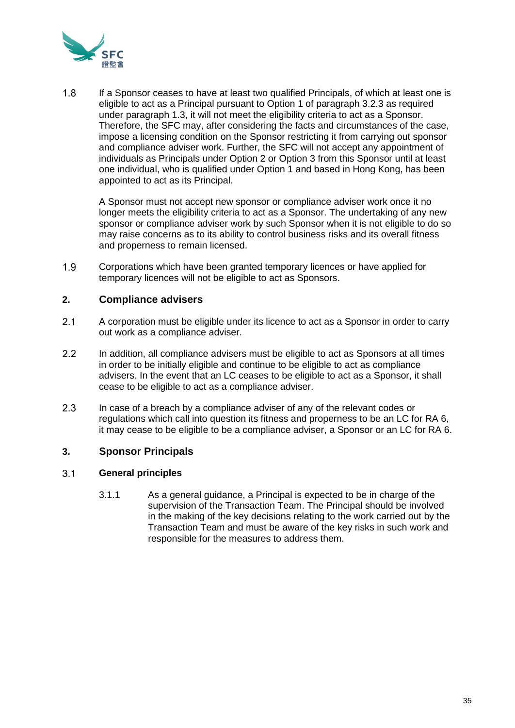

 $1.8$ If a Sponsor ceases to have at least two qualified Principals, of which at least one is eligible to act as a Principal pursuant to Option 1 of paragraph 3.2.3 as required under paragraph 1.3, it will not meet the eligibility criteria to act as a Sponsor. Therefore, the SFC may, after considering the facts and circumstances of the case, impose a licensing condition on the Sponsor restricting it from carrying out sponsor and compliance adviser work. Further, the SFC will not accept any appointment of individuals as Principals under Option 2 or Option 3 from this Sponsor until at least one individual, who is qualified under Option 1 and based in Hong Kong, has been appointed to act as its Principal.

A Sponsor must not accept new sponsor or compliance adviser work once it no longer meets the eligibility criteria to act as a Sponsor. The undertaking of any new sponsor or compliance adviser work by such Sponsor when it is not eligible to do so may raise concerns as to its ability to control business risks and its overall fitness and properness to remain licensed.

 $1.9$ Corporations which have been granted temporary licences or have applied for temporary licences will not be eligible to act as Sponsors.

# **2. Compliance advisers**

- $2.1$ A corporation must be eligible under its licence to act as a Sponsor in order to carry out work as a compliance adviser.
- $2.2$ In addition, all compliance advisers must be eligible to act as Sponsors at all times in order to be initially eligible and continue to be eligible to act as compliance advisers. In the event that an LC ceases to be eligible to act as a Sponsor, it shall cease to be eligible to act as a compliance adviser.
- $2.3$ In case of a breach by a compliance adviser of any of the relevant codes or regulations which call into question its fitness and properness to be an LC for RA 6, it may cease to be eligible to be a compliance adviser, a Sponsor or an LC for RA 6.

# **3. Sponsor Principals**

#### $3.1$ **General principles**

3.1.1 As a general guidance, a Principal is expected to be in charge of the supervision of the Transaction Team. The Principal should be involved in the making of the key decisions relating to the work carried out by the Transaction Team and must be aware of the key risks in such work and responsible for the measures to address them.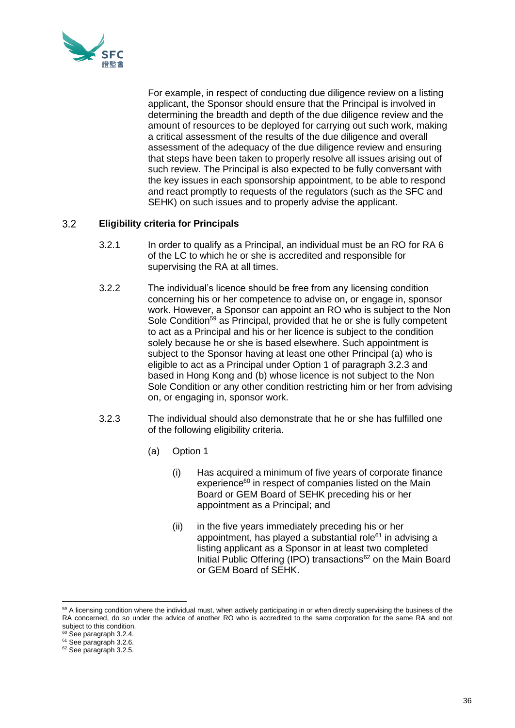

For example, in respect of conducting due diligence review on a listing applicant, the Sponsor should ensure that the Principal is involved in determining the breadth and depth of the due diligence review and the amount of resources to be deployed for carrying out such work, making a critical assessment of the results of the due diligence and overall assessment of the adequacy of the due diligence review and ensuring that steps have been taken to properly resolve all issues arising out of such review. The Principal is also expected to be fully conversant with the key issues in each sponsorship appointment, to be able to respond and react promptly to requests of the regulators (such as the SFC and SEHK) on such issues and to properly advise the applicant.

#### $3.2$ **Eligibility criteria for Principals**

- 3.2.1 In order to qualify as a Principal, an individual must be an RO for RA 6 of the LC to which he or she is accredited and responsible for supervising the RA at all times.
- 3.2.2 The individual's licence should be free from any licensing condition concerning his or her competence to advise on, or engage in, sponsor work. However, a Sponsor can appoint an RO who is subject to the Non Sole Condition<sup>59</sup> as Principal, provided that he or she is fully competent to act as a Principal and his or her licence is subject to the condition solely because he or she is based elsewhere. Such appointment is subject to the Sponsor having at least one other Principal (a) who is eligible to act as a Principal under Option 1 of paragraph 3.2.3 and based in Hong Kong and (b) whose licence is not subject to the Non Sole Condition or any other condition restricting him or her from advising on, or engaging in, sponsor work.
- 3.2.3 The individual should also demonstrate that he or she has fulfilled one of the following eligibility criteria.
	- (a) Option 1
		- (i) Has acquired a minimum of five years of corporate finance experience<sup>60</sup> in respect of companies listed on the Main Board or GEM Board of SEHK preceding his or her appointment as a Principal; and
		- (ii) in the five years immediately preceding his or her appointment, has played a substantial role<sup>61</sup> in advising a listing applicant as a Sponsor in at least two completed Initial Public Offering (IPO) transactions<sup>62</sup> on the Main Board or GEM Board of SEHK.

<sup>&</sup>lt;sup>59</sup> A licensing condition where the individual must, when actively participating in or when directly supervising the business of the RA concerned, do so under the advice of another RO who is accredited to the same corporation for the same RA and not subject to this condition.

<sup>&</sup>lt;sup>60</sup> See paragraph 3.2.4.

<sup>&</sup>lt;sup>61</sup> See paragraph 3.2.6.

<sup>&</sup>lt;sup>62</sup> See paragraph 3.2.5.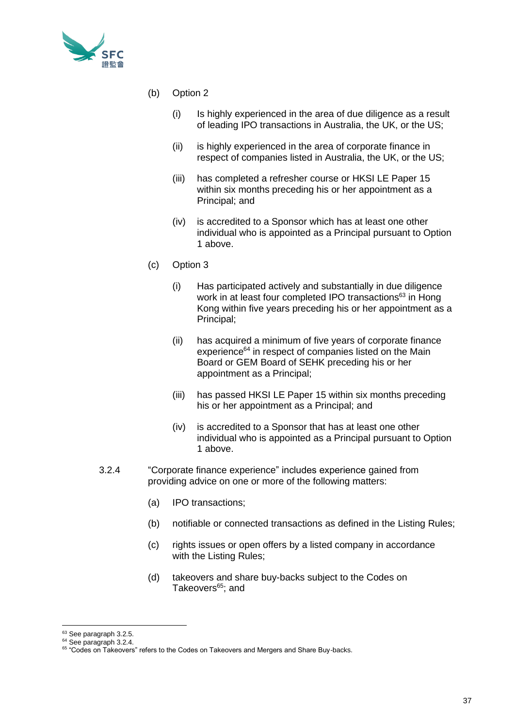

- (b) Option 2
	- (i) Is highly experienced in the area of due diligence as a result of leading IPO transactions in Australia, the UK, or the US;
	- (ii) is highly experienced in the area of corporate finance in respect of companies listed in Australia, the UK, or the US;
	- (iii) has completed a refresher course or HKSI LE Paper 15 within six months preceding his or her appointment as a Principal; and
	- (iv) is accredited to a Sponsor which has at least one other individual who is appointed as a Principal pursuant to Option 1 above.
- (c) Option 3
	- (i) Has participated actively and substantially in due diligence work in at least four completed IPO transactions<sup>63</sup> in Hong Kong within five years preceding his or her appointment as a Principal;
	- (ii) has acquired a minimum of five years of corporate finance experience<sup>64</sup> in respect of companies listed on the Main Board or GEM Board of SEHK preceding his or her appointment as a Principal;
	- (iii) has passed HKSI LE Paper 15 within six months preceding his or her appointment as a Principal; and
	- (iv) is accredited to a Sponsor that has at least one other individual who is appointed as a Principal pursuant to Option 1 above.
- 3.2.4 "Corporate finance experience" includes experience gained from providing advice on one or more of the following matters:
	- (a) IPO transactions;
	- (b) notifiable or connected transactions as defined in the Listing Rules;
	- (c) rights issues or open offers by a listed company in accordance with the Listing Rules;
	- (d) takeovers and share buy-backs subject to the Codes on Takeovers<sup>65</sup>; and

<sup>63</sup> See paragraph 3.2.5.

<sup>&</sup>lt;sup>64</sup> See paragraph 3.2.4.

<sup>&</sup>lt;sup>65</sup> "Codes on Takeovers" refers to the Codes on Takeovers and Mergers and Share Buy-backs.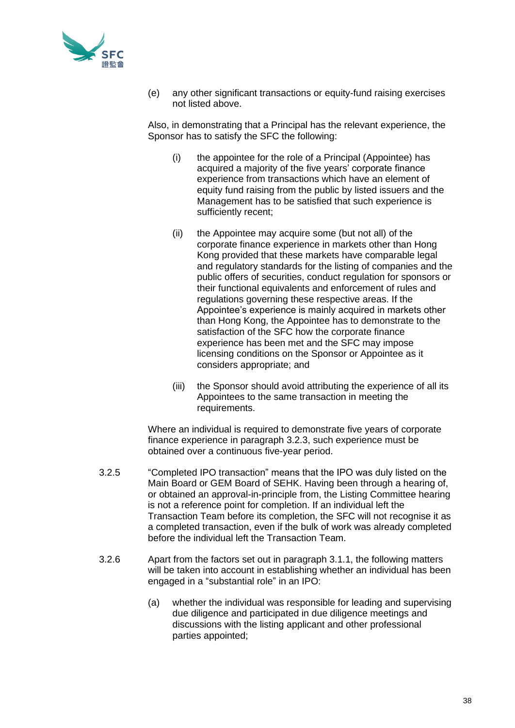

(e) any other significant transactions or equity-fund raising exercises not listed above.

Also, in demonstrating that a Principal has the relevant experience, the Sponsor has to satisfy the SFC the following:

- (i) the appointee for the role of a Principal (Appointee) has acquired a majority of the five years' corporate finance experience from transactions which have an element of equity fund raising from the public by listed issuers and the Management has to be satisfied that such experience is sufficiently recent;
- (ii) the Appointee may acquire some (but not all) of the corporate finance experience in markets other than Hong Kong provided that these markets have comparable legal and regulatory standards for the listing of companies and the public offers of securities, conduct regulation for sponsors or their functional equivalents and enforcement of rules and regulations governing these respective areas. If the Appointee's experience is mainly acquired in markets other than Hong Kong, the Appointee has to demonstrate to the satisfaction of the SFC how the corporate finance experience has been met and the SFC may impose licensing conditions on the Sponsor or Appointee as it considers appropriate; and
- (iii) the Sponsor should avoid attributing the experience of all its Appointees to the same transaction in meeting the requirements.

Where an individual is required to demonstrate five years of corporate finance experience in paragraph 3.2.3, such experience must be obtained over a continuous five-year period.

- 3.2.5 "Completed IPO transaction" means that the IPO was duly listed on the Main Board or GEM Board of SEHK. Having been through a hearing of, or obtained an approval-in-principle from, the Listing Committee hearing is not a reference point for completion. If an individual left the Transaction Team before its completion, the SFC will not recognise it as a completed transaction, even if the bulk of work was already completed before the individual left the Transaction Team.
- 3.2.6 Apart from the factors set out in paragraph 3.1.1, the following matters will be taken into account in establishing whether an individual has been engaged in a "substantial role" in an IPO:
	- (a) whether the individual was responsible for leading and supervising due diligence and participated in due diligence meetings and discussions with the listing applicant and other professional parties appointed;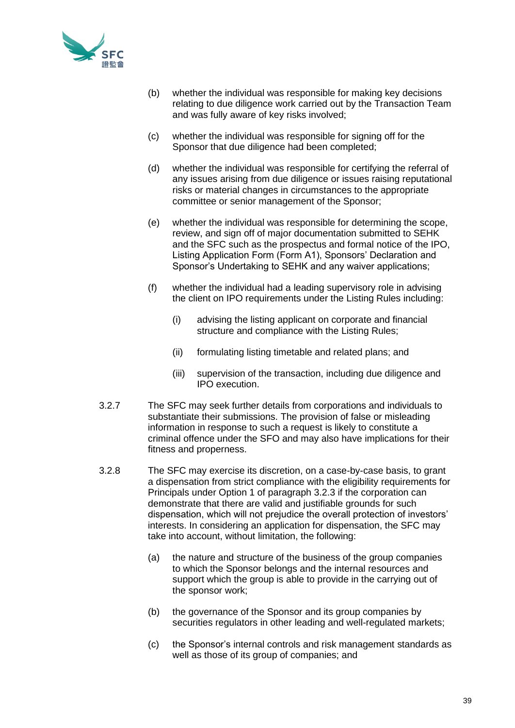

- (b) whether the individual was responsible for making key decisions relating to due diligence work carried out by the Transaction Team and was fully aware of key risks involved;
- (c) whether the individual was responsible for signing off for the Sponsor that due diligence had been completed;
- (d) whether the individual was responsible for certifying the referral of any issues arising from due diligence or issues raising reputational risks or material changes in circumstances to the appropriate committee or senior management of the Sponsor;
- (e) whether the individual was responsible for determining the scope, review, and sign off of major documentation submitted to SEHK and the SFC such as the prospectus and formal notice of the IPO, Listing Application Form (Form A1), Sponsors' Declaration and Sponsor's Undertaking to SEHK and any waiver applications;
- (f) whether the individual had a leading supervisory role in advising the client on IPO requirements under the Listing Rules including:
	- (i) advising the listing applicant on corporate and financial structure and compliance with the Listing Rules;
	- (ii) formulating listing timetable and related plans; and
	- (iii) supervision of the transaction, including due diligence and IPO execution.
- 3.2.7 The SFC may seek further details from corporations and individuals to substantiate their submissions. The provision of false or misleading information in response to such a request is likely to constitute a criminal offence under the SFO and may also have implications for their fitness and properness.
- 3.2.8 The SFC may exercise its discretion, on a case-by-case basis, to grant a dispensation from strict compliance with the eligibility requirements for Principals under Option 1 of paragraph 3.2.3 if the corporation can demonstrate that there are valid and justifiable grounds for such dispensation, which will not prejudice the overall protection of investors' interests. In considering an application for dispensation, the SFC may take into account, without limitation, the following:
	- (a) the nature and structure of the business of the group companies to which the Sponsor belongs and the internal resources and support which the group is able to provide in the carrying out of the sponsor work;
	- (b) the governance of the Sponsor and its group companies by securities regulators in other leading and well-regulated markets;
	- (c) the Sponsor's internal controls and risk management standards as well as those of its group of companies; and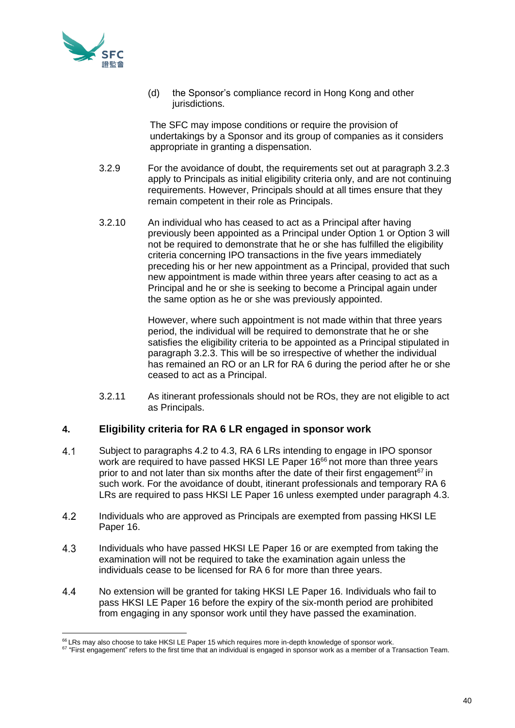

(d) the Sponsor's compliance record in Hong Kong and other jurisdictions.

The SFC may impose conditions or require the provision of undertakings by a Sponsor and its group of companies as it considers appropriate in granting a dispensation.

- 3.2.9 For the avoidance of doubt, the requirements set out at paragraph 3.2.3 apply to Principals as initial eligibility criteria only, and are not continuing requirements. However, Principals should at all times ensure that they remain competent in their role as Principals.
- 3.2.10 An individual who has ceased to act as a Principal after having previously been appointed as a Principal under Option 1 or Option 3 will not be required to demonstrate that he or she has fulfilled the eligibility criteria concerning IPO transactions in the five years immediately preceding his or her new appointment as a Principal, provided that such new appointment is made within three years after ceasing to act as a Principal and he or she is seeking to become a Principal again under the same option as he or she was previously appointed.

However, where such appointment is not made within that three years period, the individual will be required to demonstrate that he or she satisfies the eligibility criteria to be appointed as a Principal stipulated in paragraph 3.2.3. This will be so irrespective of whether the individual has remained an RO or an LR for RA 6 during the period after he or she ceased to act as a Principal.

3.2.11 As itinerant professionals should not be ROs, they are not eligible to act as Principals.

# **4. Eligibility criteria for RA 6 LR engaged in sponsor work**

- $4.1$ Subject to paragraphs 4.2 to 4.3, RA 6 LRs intending to engage in IPO sponsor work are required to have passed HKSI LE Paper 16<sup>66</sup> not more than three years prior to and not later than six months after the date of their first engagement<sup> $67$ </sup> in such work. For the avoidance of doubt, itinerant professionals and temporary RA 6 LRs are required to pass HKSI LE Paper 16 unless exempted under paragraph 4.3.
- $4.2$ Individuals who are approved as Principals are exempted from passing HKSI LE Paper 16.
- $4.3$ Individuals who have passed HKSI LE Paper 16 or are exempted from taking the examination will not be required to take the examination again unless the individuals cease to be licensed for RA 6 for more than three years.
- $4.4$ No extension will be granted for taking HKSI LE Paper 16. Individuals who fail to pass HKSI LE Paper 16 before the expiry of the six-month period are prohibited from engaging in any sponsor work until they have passed the examination.

<sup>&</sup>lt;sup>66</sup> LRs mav also choose to take HKSI LE Paper 15 which requires more in-depth knowledge of sponsor work.

<sup>67 &</sup>quot;First engagement" refers to the first time that an individual is engaged in sponsor work as a member of a Transaction Team.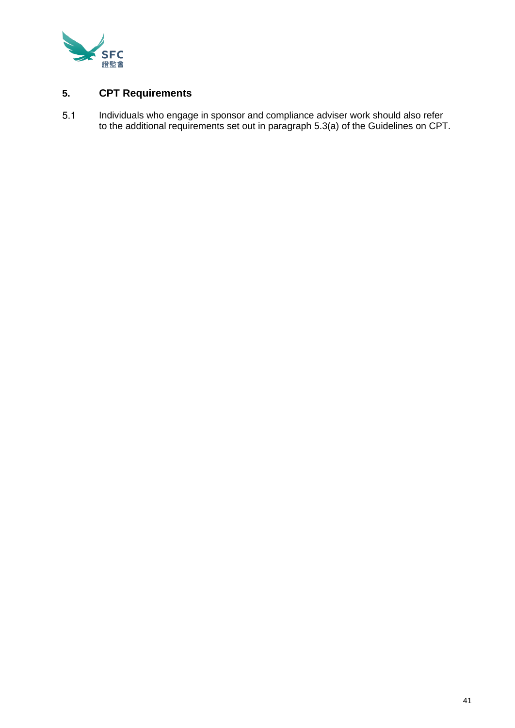

# **5. CPT Requirements**

 $5.1$ Individuals who engage in sponsor and compliance adviser work should also refer to the additional requirements set out in paragraph 5.3(a) of the Guidelines on CPT.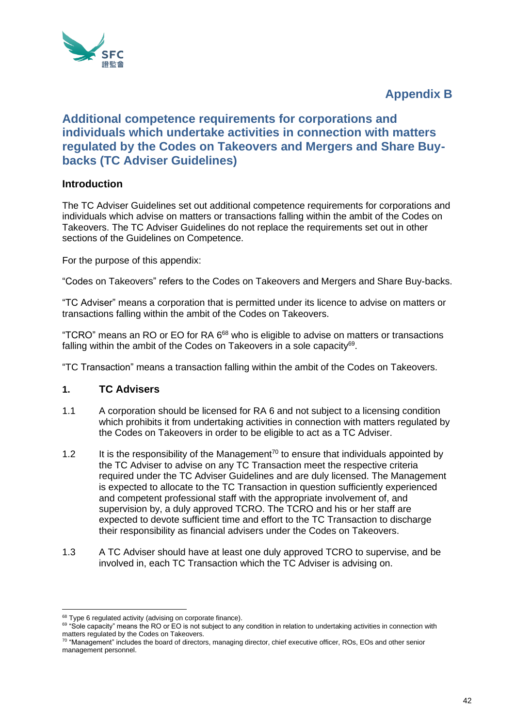

# **Appendix B**

# **Additional competence requirements for corporations and individuals which undertake activities in connection with matters regulated by the Codes on Takeovers and Mergers and Share Buybacks (TC Adviser Guidelines)**

# **Introduction**

The TC Adviser Guidelines set out additional competence requirements for corporations and individuals which advise on matters or transactions falling within the ambit of the Codes on Takeovers. The TC Adviser Guidelines do not replace the requirements set out in other sections of the Guidelines on Competence.

For the purpose of this appendix:

"Codes on Takeovers" refers to the Codes on Takeovers and Mergers and Share Buy-backs.

"TC Adviser" means a corporation that is permitted under its licence to advise on matters or transactions falling within the ambit of the Codes on Takeovers.

"TCRO" means an RO or EO for RA 6<sup>68</sup> who is eligible to advise on matters or transactions falling within the ambit of the Codes on Takeovers in a sole capacity<sup>69</sup>.

"TC Transaction" means a transaction falling within the ambit of the Codes on Takeovers.

# **1. TC Advisers**

- 1.1 A corporation should be licensed for RA 6 and not subject to a licensing condition which prohibits it from undertaking activities in connection with matters regulated by the Codes on Takeovers in order to be eligible to act as a TC Adviser.
- 1.2 It is the responsibility of the Management<sup>70</sup> to ensure that individuals appointed by the TC Adviser to advise on any TC Transaction meet the respective criteria required under the TC Adviser Guidelines and are duly licensed. The Management is expected to allocate to the TC Transaction in question sufficiently experienced and competent professional staff with the appropriate involvement of, and supervision by, a duly approved TCRO. The TCRO and his or her staff are expected to devote sufficient time and effort to the TC Transaction to discharge their responsibility as financial advisers under the Codes on Takeovers.
- 1.3 A TC Adviser should have at least one duly approved TCRO to supervise, and be involved in, each TC Transaction which the TC Adviser is advising on.

<sup>&</sup>lt;sup>68</sup> Type 6 regulated activity (advising on corporate finance).

<sup>69 &</sup>quot;Sole capacity" means the RO or EO is not subject to any condition in relation to undertaking activities in connection with matters regulated by the Codes on Takeovers.

 $70$  "Management" includes the board of directors, managing director, chief executive officer, ROs, EOs and other senior management personnel.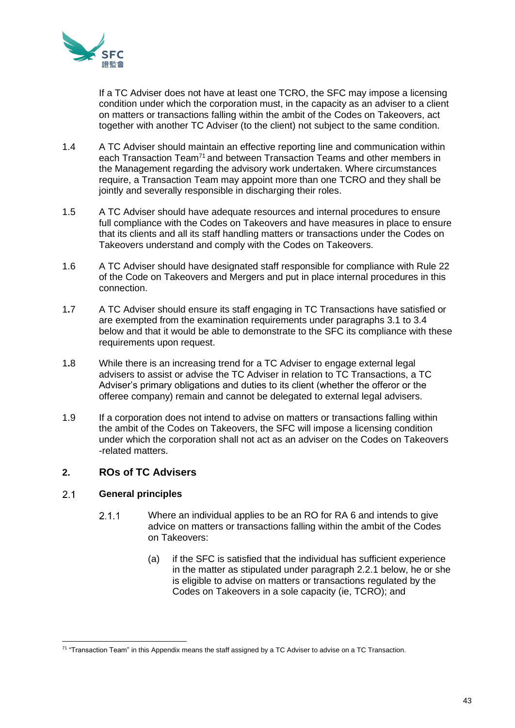

If a TC Adviser does not have at least one TCRO, the SFC may impose a licensing condition under which the corporation must, in the capacity as an adviser to a client on matters or transactions falling within the ambit of the Codes on Takeovers, act together with another TC Adviser (to the client) not subject to the same condition.

- 1.4 A TC Adviser should maintain an effective reporting line and communication within each Transaction Team<sup>71</sup> and between Transaction Teams and other members in the Management regarding the advisory work undertaken. Where circumstances require, a Transaction Team may appoint more than one TCRO and they shall be jointly and severally responsible in discharging their roles.
- 1.5 A TC Adviser should have adequate resources and internal procedures to ensure full compliance with the Codes on Takeovers and have measures in place to ensure that its clients and all its staff handling matters or transactions under the Codes on Takeovers understand and comply with the Codes on Takeovers.
- 1.6 A TC Adviser should have designated staff responsible for compliance with Rule 22 of the Code on Takeovers and Mergers and put in place internal procedures in this connection.
- 1**.**7 A TC Adviser should ensure its staff engaging in TC Transactions have satisfied or are exempted from the examination requirements under paragraphs 3.1 to 3.4 below and that it would be able to demonstrate to the SFC its compliance with these requirements upon request.
- 1**.**8 While there is an increasing trend for a TC Adviser to engage external legal advisers to assist or advise the TC Adviser in relation to TC Transactions, a TC Adviser's primary obligations and duties to its client (whether the offeror or the offeree company) remain and cannot be delegated to external legal advisers.
- 1.9 If a corporation does not intend to advise on matters or transactions falling within the ambit of the Codes on Takeovers, the SFC will impose a licensing condition under which the corporation shall not act as an adviser on the Codes on Takeovers -related matters.

# **2. ROs of TC Advisers**

#### $2.1$ **General principles**

- $2.1.1$ Where an individual applies to be an RO for RA 6 and intends to give advice on matters or transactions falling within the ambit of the Codes on Takeovers:
	- (a) if the SFC is satisfied that the individual has sufficient experience in the matter as stipulated under paragraph 2.2.1 below, he or she is eligible to advise on matters or transactions regulated by the Codes on Takeovers in a sole capacity (ie, TCRO); and

<sup>71 &</sup>quot;Transaction Team" in this Appendix means the staff assigned by a TC Adviser to advise on a TC Transaction.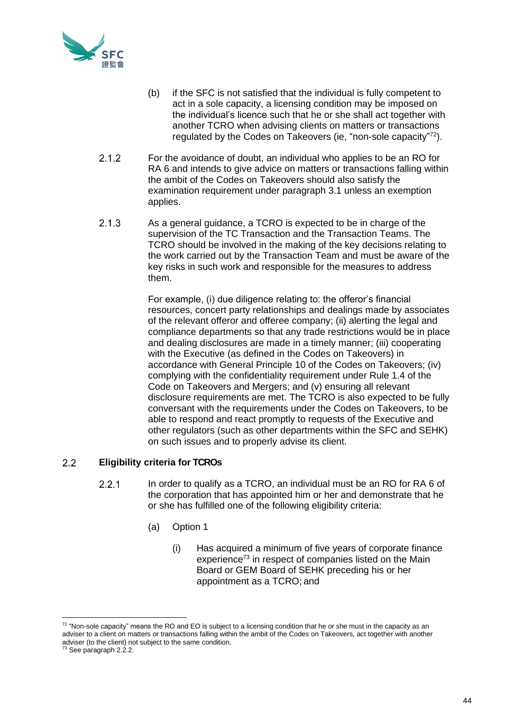

- (b) if the SFC is not satisfied that the individual is fully competent to act in a sole capacity, a licensing condition may be imposed on the individual's licence such that he or she shall act together with another TCRO when advising clients on matters or transactions regulated by the Codes on Takeovers (ie, "non-sole capacity"<sup>72</sup>).
- $2.1.2$ For the avoidance of doubt, an individual who applies to be an RO for RA 6 and intends to give advice on matters or transactions falling within the ambit of the Codes on Takeovers should also satisfy the examination requirement under paragraph 3.1 unless an exemption applies.
- $2.1.3$ As a general guidance, a TCRO is expected to be in charge of the supervision of the TC Transaction and the Transaction Teams. The TCRO should be involved in the making of the key decisions relating to the work carried out by the Transaction Team and must be aware of the key risks in such work and responsible for the measures to address them.

For example, (i) due diligence relating to: the offeror's financial resources, concert party relationships and dealings made by associates of the relevant offeror and offeree company; (ii) alerting the legal and compliance departments so that any trade restrictions would be in place and dealing disclosures are made in a timely manner; (iii) cooperating with the Executive (as defined in the Codes on Takeovers) in accordance with General Principle 10 of the Codes on Takeovers; (iv) complying with the confidentiality requirement under Rule 1.4 of the Code on Takeovers and Mergers; and (v) ensuring all relevant disclosure requirements are met. The TCRO is also expected to be fully conversant with the requirements under the Codes on Takeovers, to be able to respond and react promptly to requests of the Executive and other regulators (such as other departments within the SFC and SEHK) on such issues and to properly advise its client.

#### $2.2$ **Eligibility criteria for TCROs**

- $2.2.1$ In order to qualify as a TCRO, an individual must be an RO for RA 6 of the corporation that has appointed him or her and demonstrate that he or she has fulfilled one of the following eligibility criteria:
	- (a) Option 1
		- (i) Has acquired a minimum of five years of corporate finance experience<sup>73</sup> in respect of companies listed on the Main Board or GEM Board of SEHK preceding his or her appointment as a TCRO; and

 $72$  "Non-sole capacity" means the RO and EO is subject to a licensing condition that he or she must in the capacity as an adviser to a client on matters or transactions falling within the ambit of the Codes on Takeovers, act together with another adviser (to the client) not subject to the same condition.

<sup>&</sup>lt;sup>73</sup> See paragraph 2.2.2.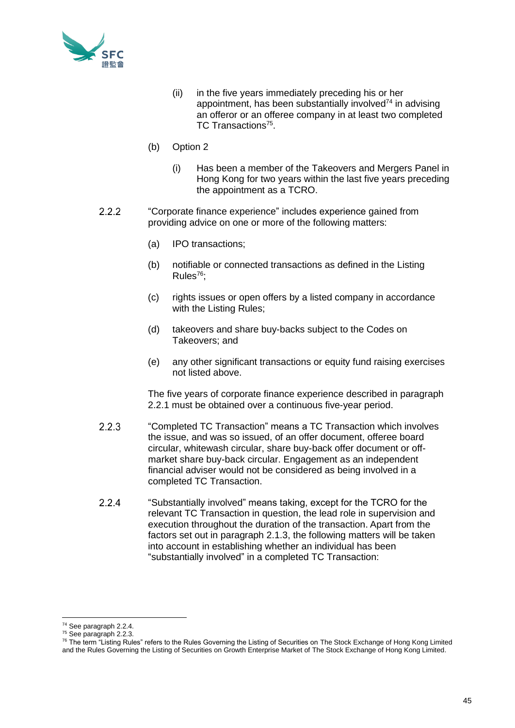

- (ii) in the five years immediately preceding his or her appointment, has been substantially involved $74$  in advising an offeror or an offeree company in at least two completed TC Transactions<sup>75</sup>.
- (b) Option 2
	- (i) Has been a member of the Takeovers and Mergers Panel in Hong Kong for two years within the last five years preceding the appointment as a TCRO.
- $2.2.2$ "Corporate finance experience" includes experience gained from providing advice on one or more of the following matters:
	- (a) IPO transactions;
	- (b) notifiable or connected transactions as defined in the Listing Rules<sup>76</sup>:
	- (c) rights issues or open offers by a listed company in accordance with the Listing Rules;
	- (d) takeovers and share buy-backs subject to the Codes on Takeovers; and
	- (e) any other significant transactions or equity fund raising exercises not listed above.

The five years of corporate finance experience described in paragraph 2.2.1 must be obtained over a continuous five-year period.

- $2.2.3$ "Completed TC Transaction" means a TC Transaction which involves the issue, and was so issued, of an offer document, offeree board circular, whitewash circular, share buy-back offer document or offmarket share buy-back circular. Engagement as an independent financial adviser would not be considered as being involved in a completed TC Transaction.
- $2.2.4$ "Substantially involved" means taking, except for the TCRO for the relevant TC Transaction in question, the lead role in supervision and execution throughout the duration of the transaction. Apart from the factors set out in paragraph 2.1.3, the following matters will be taken into account in establishing whether an individual has been "substantially involved" in a completed TC Transaction:

<sup>74</sup> See paragraph 2.2.4.

<sup>&</sup>lt;sup>75</sup> See paragraph 2.2.3.

<sup>&</sup>lt;sup>76</sup> The term "Listing Rules" refers to the Rules Governing the Listing of Securities on The Stock Exchange of Hong Kong Limited and the Rules Governing the Listing of Securities on Growth Enterprise Market of The Stock Exchange of Hong Kong Limited.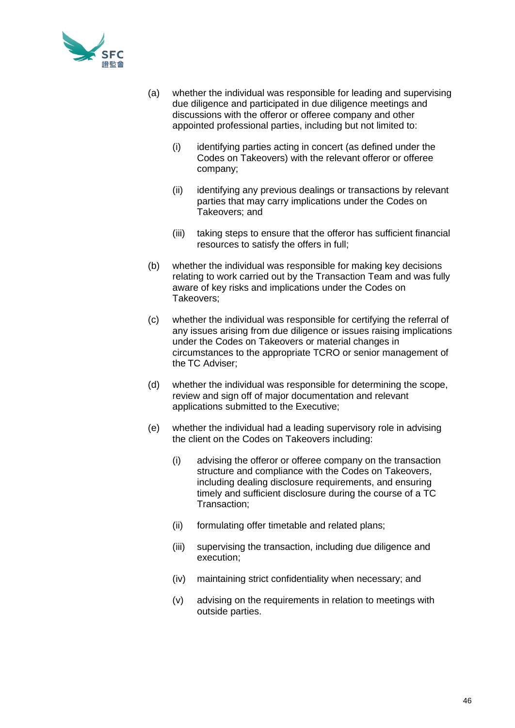

- (a) whether the individual was responsible for leading and supervising due diligence and participated in due diligence meetings and discussions with the offeror or offeree company and other appointed professional parties, including but not limited to:
	- (i) identifying parties acting in concert (as defined under the Codes on Takeovers) with the relevant offeror or offeree company;
	- (ii) identifying any previous dealings or transactions by relevant parties that may carry implications under the Codes on Takeovers; and
	- (iii) taking steps to ensure that the offeror has sufficient financial resources to satisfy the offers in full;
- (b) whether the individual was responsible for making key decisions relating to work carried out by the Transaction Team and was fully aware of key risks and implications under the Codes on Takeovers;
- (c) whether the individual was responsible for certifying the referral of any issues arising from due diligence or issues raising implications under the Codes on Takeovers or material changes in circumstances to the appropriate TCRO or senior management of the TC Adviser;
- (d) whether the individual was responsible for determining the scope, review and sign off of major documentation and relevant applications submitted to the Executive;
- (e) whether the individual had a leading supervisory role in advising the client on the Codes on Takeovers including:
	- (i) advising the offeror or offeree company on the transaction structure and compliance with the Codes on Takeovers, including dealing disclosure requirements, and ensuring timely and sufficient disclosure during the course of a TC Transaction;
	- (ii) formulating offer timetable and related plans;
	- (iii) supervising the transaction, including due diligence and execution;
	- (iv) maintaining strict confidentiality when necessary; and
	- (v) advising on the requirements in relation to meetings with outside parties.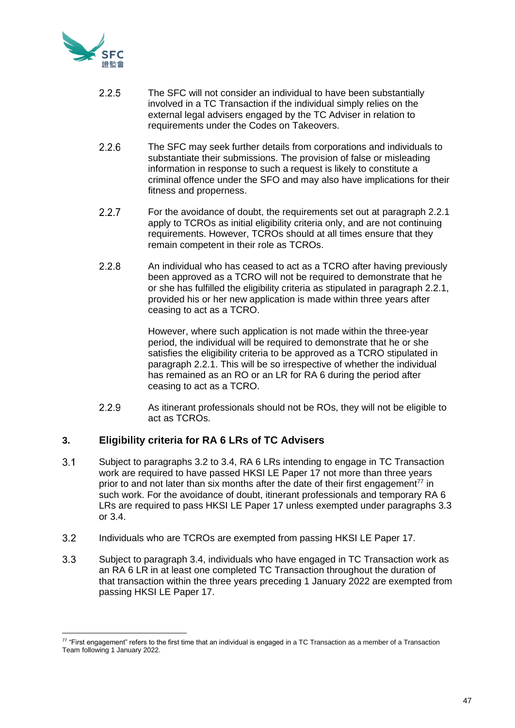

- $225$ The SFC will not consider an individual to have been substantially involved in a TC Transaction if the individual simply relies on the external legal advisers engaged by the TC Adviser in relation to requirements under the Codes on Takeovers.
- $2.2.6$ The SFC may seek further details from corporations and individuals to substantiate their submissions. The provision of false or misleading information in response to such a request is likely to constitute a criminal offence under the SFO and may also have implications for their fitness and properness.
- $2.2.7$ For the avoidance of doubt, the requirements set out at paragraph 2.2.1 apply to TCROs as initial eligibility criteria only, and are not continuing requirements. However, TCROs should at all times ensure that they remain competent in their role as TCROs.
- $2.2.8$ An individual who has ceased to act as a TCRO after having previously been approved as a TCRO will not be required to demonstrate that he or she has fulfilled the eligibility criteria as stipulated in paragraph 2.2.1, provided his or her new application is made within three years after ceasing to act as a TCRO.

However, where such application is not made within the three-year period, the individual will be required to demonstrate that he or she satisfies the eligibility criteria to be approved as a TCRO stipulated in paragraph 2.2.1. This will be so irrespective of whether the individual has remained as an RO or an LR for RA 6 during the period after ceasing to act as a TCRO.

2.2.9 As itinerant professionals should not be ROs, they will not be eligible to act as TCROs.

# **3. Eligibility criteria for RA 6 LRs of TC Advisers**

- $3.1$ Subject to paragraphs 3.2 to 3.4, RA 6 LRs intending to engage in TC Transaction work are required to have passed HKSI LE Paper 17 not more than three years prior to and not later than six months after the date of their first engagement<sup> $77$ </sup> in such work. For the avoidance of doubt, itinerant professionals and temporary RA 6 LRs are required to pass HKSI LE Paper 17 unless exempted under paragraphs 3.3 or 3.4.
- $3.2$ Individuals who are TCROs are exempted from passing HKSI LE Paper 17.
- $3.3$ Subject to paragraph 3.4, individuals who have engaged in TC Transaction work as an RA 6 LR in at least one completed TC Transaction throughout the duration of that transaction within the three years preceding 1 January 2022 are exempted from passing HKSI LE Paper 17.

 $77$  "First engagement" refers to the first time that an individual is engaged in a TC Transaction as a member of a Transaction Team following 1 January 2022.